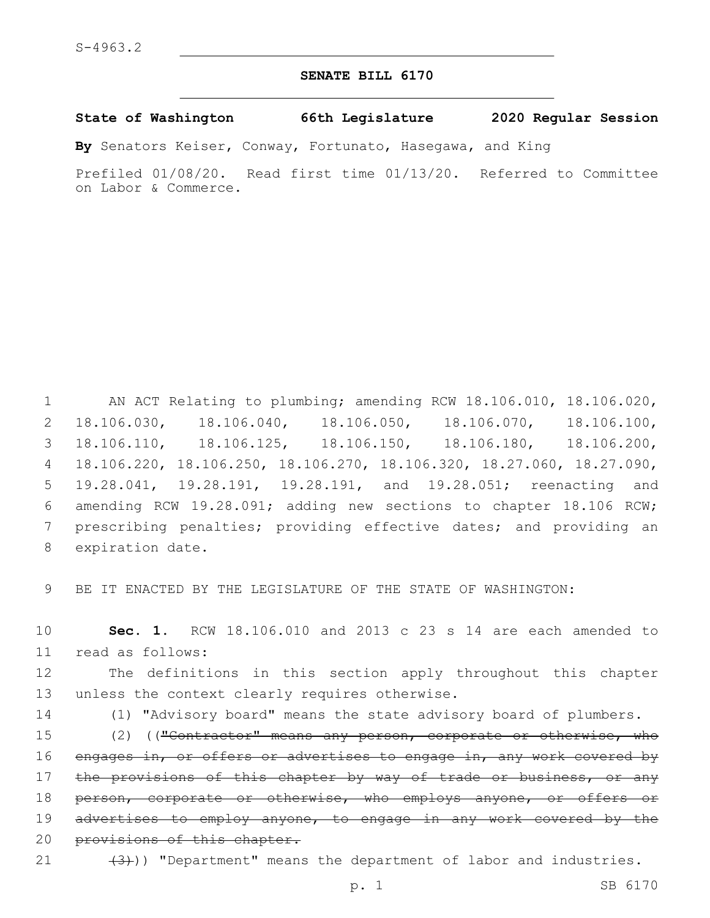## **SENATE BILL 6170**

## **State of Washington 66th Legislature 2020 Regular Session**

**By** Senators Keiser, Conway, Fortunato, Hasegawa, and King

Prefiled 01/08/20. Read first time 01/13/20. Referred to Committee on Labor & Commerce.

 AN ACT Relating to plumbing; amending RCW 18.106.010, 18.106.020, 18.106.030, 18.106.040, 18.106.050, 18.106.070, 18.106.100, 18.106.110, 18.106.125, 18.106.150, 18.106.180, 18.106.200, 18.106.220, 18.106.250, 18.106.270, 18.106.320, 18.27.060, 18.27.090, 19.28.041, 19.28.191, 19.28.191, and 19.28.051; reenacting and amending RCW 19.28.091; adding new sections to chapter 18.106 RCW; prescribing penalties; providing effective dates; and providing an 8 expiration date.

9 BE IT ENACTED BY THE LEGISLATURE OF THE STATE OF WASHINGTON:

10 **Sec. 1.** RCW 18.106.010 and 2013 c 23 s 14 are each amended to read as follows:11

12 The definitions in this section apply throughout this chapter 13 unless the context clearly requires otherwise.

14 (1) "Advisory board" means the state advisory board of plumbers.

15 (2) (("Contractor" means any person, corporate or otherwise, who 16 engages in, or offers or advertises to engage in, any work covered by 17 the provisions of this chapter by way of trade or business, or any 18 person, corporate or otherwise, who employs anyone, or offers or 19 advertises to employ anyone, to engage in any work covered by the 20 provisions of this chapter.

21  $(3)$ )) "Department" means the department of labor and industries.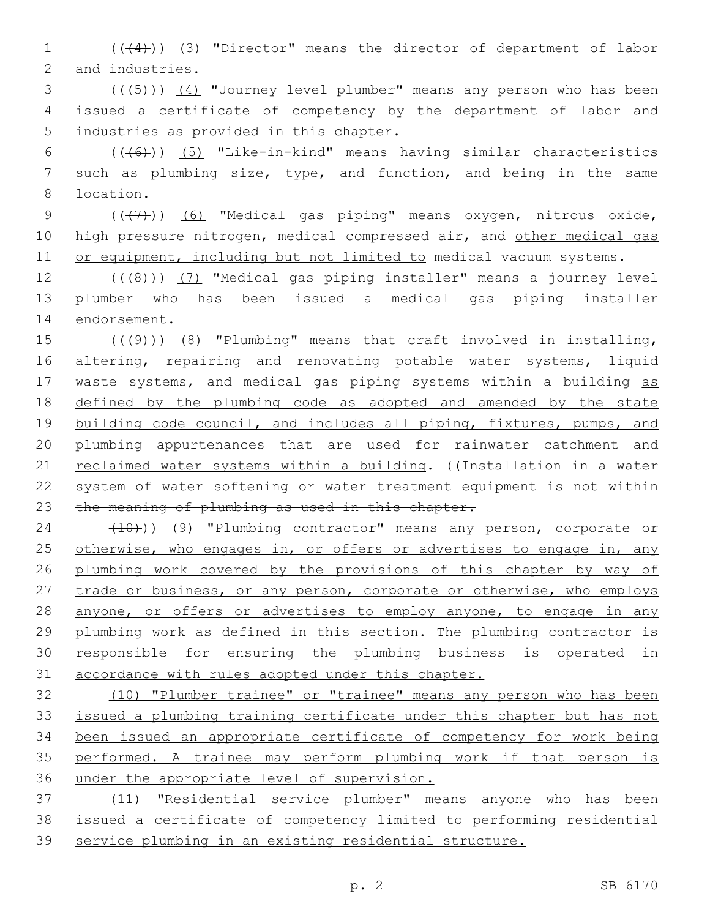1 ((+4))) (3) "Director" means the director of department of labor 2 and industries.

3 (((+5))) (4) "Journey level plumber" means any person who has been 4 issued a certificate of competency by the department of labor and 5 industries as provided in this chapter.

6  $((+6))$   $(5)$  "Like-in-kind" means having similar characteristics 7 such as plumbing size, type, and function, and being in the same location.8

9 (((7)) (6) "Medical gas piping" means oxygen, nitrous oxide, 10 high pressure nitrogen, medical compressed air, and other medical gas 11 or equipment, including but not limited to medical vacuum systems.

12 (((8)) (7) "Medical gas piping installer" means a journey level 13 plumber who has been issued a medical gas piping installer 14 endorsement.

15  $((49)$ )  $(8)$  "Plumbing" means that craft involved in installing, 16 altering, repairing and renovating potable water systems, liquid 17 waste systems, and medical gas piping systems within a building as 18 defined by the plumbing code as adopted and amended by the state 19 building code council, and includes all piping, fixtures, pumps, and 20 plumbing appurtenances that are used for rainwater catchment and 21 reclaimed water systems within a building. ((<del>Installation in a water</del> 22 system of water softening or water treatment equipment is not within 23 the meaning of plumbing as used in this chapter.

24 (10)) (9) "Plumbing contractor" means any person, corporate or 25 otherwise, who engages in, or offers or advertises to engage in, any 26 plumbing work covered by the provisions of this chapter by way of 27 trade or business, or any person, corporate or otherwise, who employs 28 anyone, or offers or advertises to employ anyone, to engage in any 29 plumbing work as defined in this section. The plumbing contractor is 30 responsible for ensuring the plumbing business is operated in 31 accordance with rules adopted under this chapter.

 (10) "Plumber trainee" or "trainee" means any person who has been issued a plumbing training certificate under this chapter but has not been issued an appropriate certificate of competency for work being performed. A trainee may perform plumbing work if that person is under the appropriate level of supervision.

37 (11) "Residential service plumber" means anyone who has been 38 issued a certificate of competency limited to performing residential 39 service plumbing in an existing residential structure.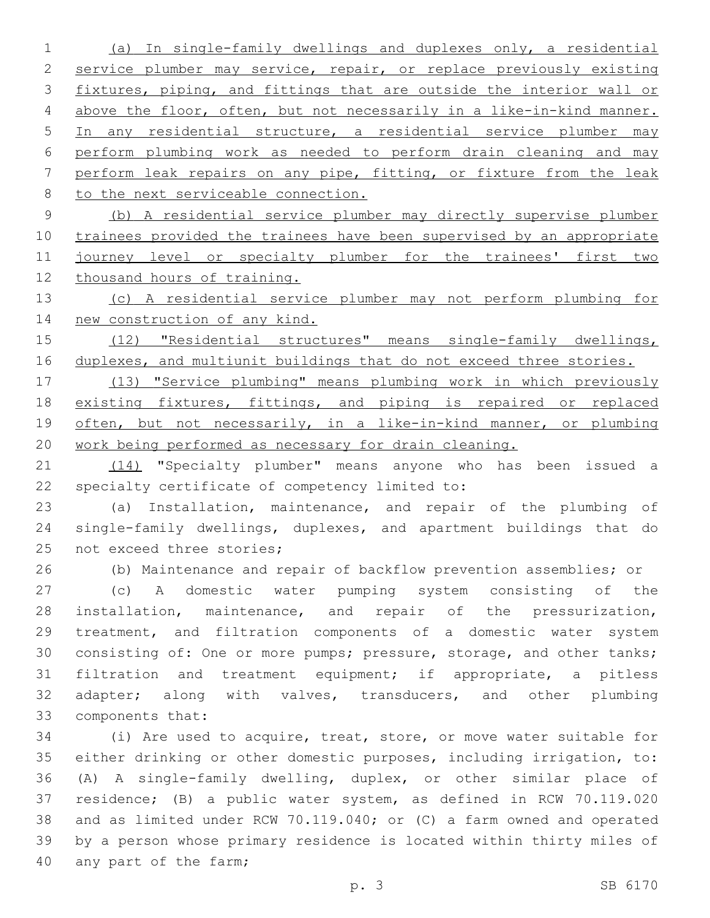(a) In single-family dwellings and duplexes only, a residential 2 service plumber may service, repair, or replace previously existing fixtures, piping, and fittings that are outside the interior wall or above the floor, often, but not necessarily in a like-in-kind manner. In any residential structure, a residential service plumber may perform plumbing work as needed to perform drain cleaning and may perform leak repairs on any pipe, fitting, or fixture from the leak 8 to the next serviceable connection.

 (b) A residential service plumber may directly supervise plumber trainees provided the trainees have been supervised by an appropriate 11 journey level or specialty plumber for the trainees' first two thousand hours of training.

 (c) A residential service plumber may not perform plumbing for new construction of any kind.

 (12) "Residential structures" means single-family dwellings, duplexes, and multiunit buildings that do not exceed three stories.

 (13) "Service plumbing" means plumbing work in which previously 18 existing fixtures, fittings, and piping is repaired or replaced 19 often, but not necessarily, in a like-in-kind manner, or plumbing work being performed as necessary for drain cleaning.

21 (14) "Specialty plumber" means anyone who has been issued a 22 specialty certificate of competency limited to:

 (a) Installation, maintenance, and repair of the plumbing of single-family dwellings, duplexes, and apartment buildings that do 25 not exceed three stories;

(b) Maintenance and repair of backflow prevention assemblies; or

 (c) A domestic water pumping system consisting of the installation, maintenance, and repair of the pressurization, treatment, and filtration components of a domestic water system consisting of: One or more pumps; pressure, storage, and other tanks; filtration and treatment equipment; if appropriate, a pitless 32 adapter; along with valves, transducers, and other plumbing 33 components that:

 (i) Are used to acquire, treat, store, or move water suitable for either drinking or other domestic purposes, including irrigation, to: (A) A single-family dwelling, duplex, or other similar place of residence; (B) a public water system, as defined in RCW 70.119.020 and as limited under RCW 70.119.040; or (C) a farm owned and operated by a person whose primary residence is located within thirty miles of 40 any part of the farm;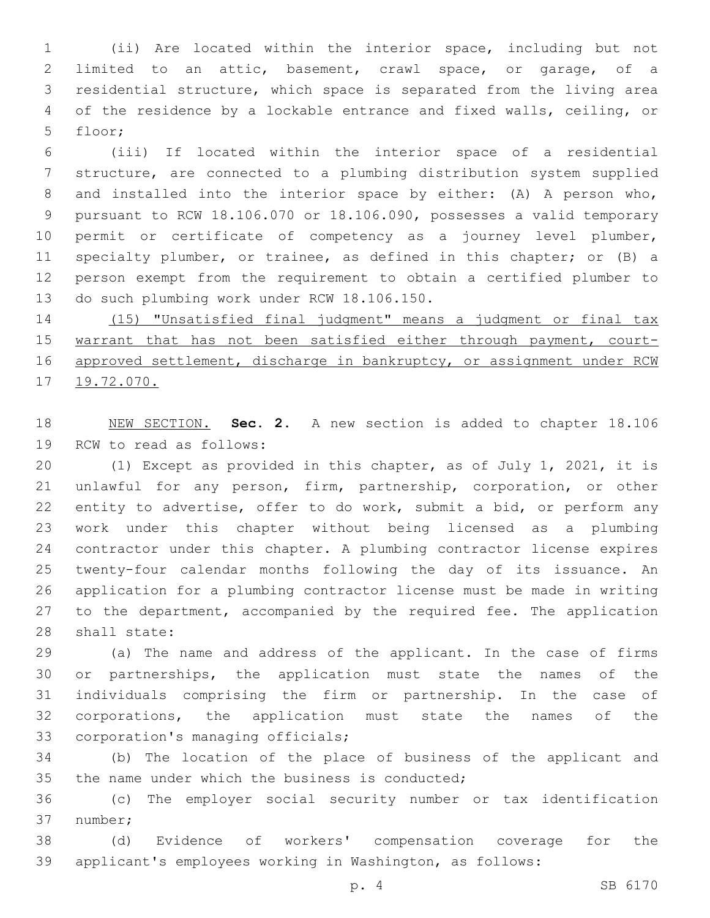(ii) Are located within the interior space, including but not limited to an attic, basement, crawl space, or garage, of a residential structure, which space is separated from the living area of the residence by a lockable entrance and fixed walls, ceiling, or 5 floor;

 (iii) If located within the interior space of a residential structure, are connected to a plumbing distribution system supplied and installed into the interior space by either: (A) A person who, pursuant to RCW 18.106.070 or 18.106.090, possesses a valid temporary permit or certificate of competency as a journey level plumber, specialty plumber, or trainee, as defined in this chapter; or (B) a person exempt from the requirement to obtain a certified plumber to 13 do such plumbing work under RCW 18.106.150.

 (15) "Unsatisfied final judgment" means a judgment or final tax 15 warrant that has not been satisfied either through payment, court-16 approved settlement, discharge in bankruptcy, or assignment under RCW 19.72.070.

 NEW SECTION. **Sec. 2.** A new section is added to chapter 18.106 19 RCW to read as follows:

 (1) Except as provided in this chapter, as of July 1, 2021, it is unlawful for any person, firm, partnership, corporation, or other entity to advertise, offer to do work, submit a bid, or perform any work under this chapter without being licensed as a plumbing contractor under this chapter. A plumbing contractor license expires twenty-four calendar months following the day of its issuance. An application for a plumbing contractor license must be made in writing 27 to the department, accompanied by the required fee. The application 28 shall state:

 (a) The name and address of the applicant. In the case of firms or partnerships, the application must state the names of the individuals comprising the firm or partnership. In the case of corporations, the application must state the names of the 33 corporation's managing officials;

 (b) The location of the place of business of the applicant and 35 the name under which the business is conducted;

 (c) The employer social security number or tax identification 37 number;

 (d) Evidence of workers' compensation coverage for the applicant's employees working in Washington, as follows: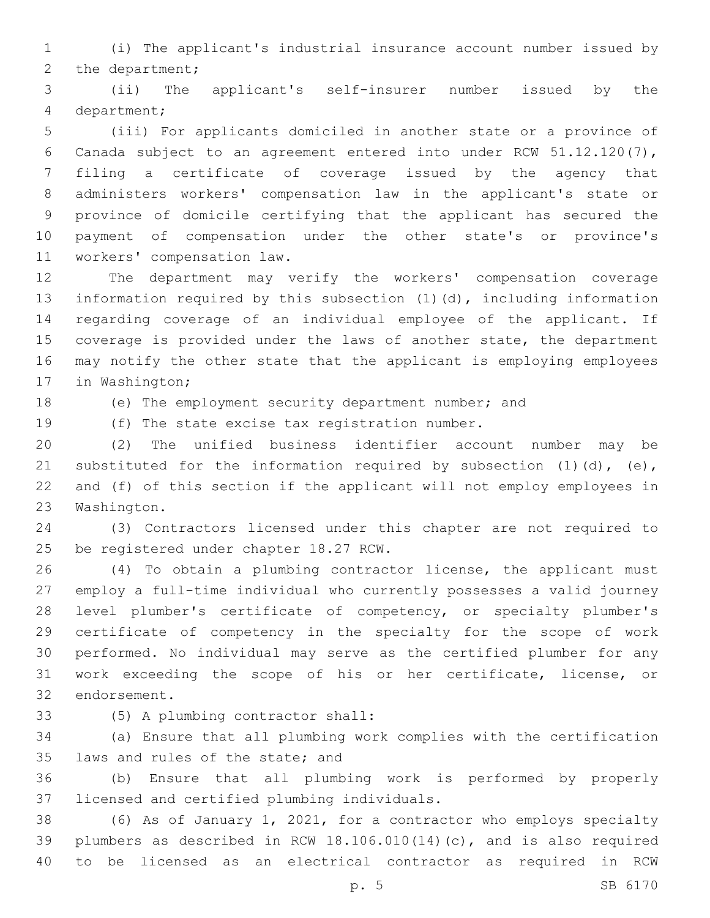(i) The applicant's industrial insurance account number issued by 2 the department;

 (ii) The applicant's self-insurer number issued by the department;4

 (iii) For applicants domiciled in another state or a province of Canada subject to an agreement entered into under RCW 51.12.120(7), filing a certificate of coverage issued by the agency that administers workers' compensation law in the applicant's state or province of domicile certifying that the applicant has secured the payment of compensation under the other state's or province's 11 workers' compensation law.

 The department may verify the workers' compensation coverage information required by this subsection (1)(d), including information regarding coverage of an individual employee of the applicant. If coverage is provided under the laws of another state, the department may notify the other state that the applicant is employing employees 17 in Washington;

(e) The employment security department number; and

19 (f) The state excise tax registration number.

 (2) The unified business identifier account number may be 21 substituted for the information required by subsection  $(1)$   $(d)$ ,  $(e)$ , and (f) of this section if the applicant will not employ employees in 23 Washington.

 (3) Contractors licensed under this chapter are not required to 25 be registered under chapter 18.27 RCW.

 (4) To obtain a plumbing contractor license, the applicant must employ a full-time individual who currently possesses a valid journey level plumber's certificate of competency, or specialty plumber's certificate of competency in the specialty for the scope of work performed. No individual may serve as the certified plumber for any work exceeding the scope of his or her certificate, license, or 32 endorsement.

(5) A plumbing contractor shall:33

 (a) Ensure that all plumbing work complies with the certification 35 laws and rules of the state; and

 (b) Ensure that all plumbing work is performed by properly 37 licensed and certified plumbing individuals.

 (6) As of January 1, 2021, for a contractor who employs specialty plumbers as described in RCW 18.106.010(14)(c), and is also required to be licensed as an electrical contractor as required in RCW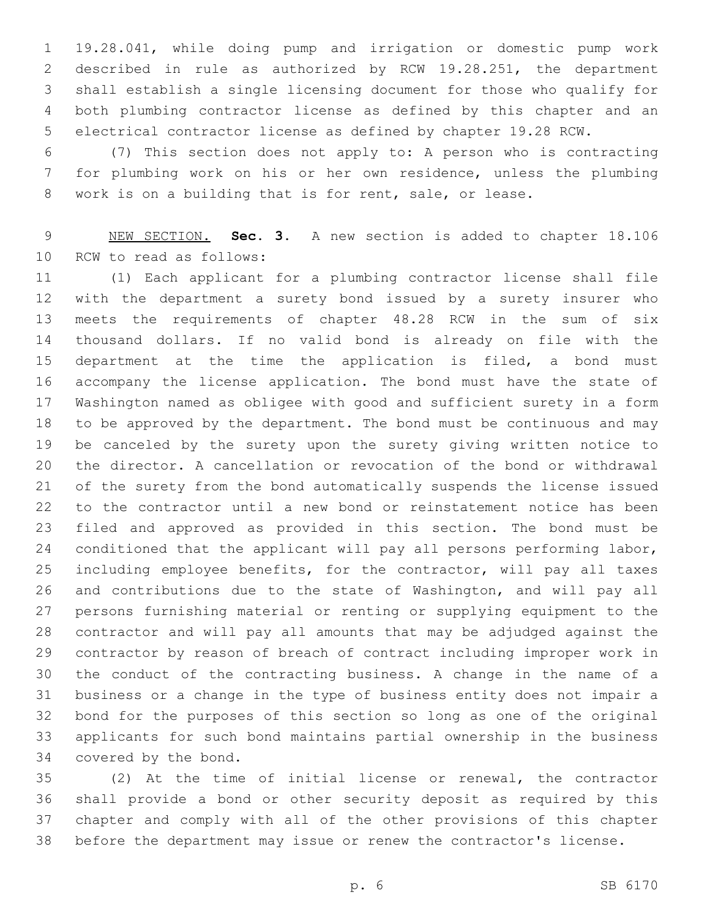19.28.041, while doing pump and irrigation or domestic pump work described in rule as authorized by RCW 19.28.251, the department shall establish a single licensing document for those who qualify for both plumbing contractor license as defined by this chapter and an electrical contractor license as defined by chapter 19.28 RCW.

 (7) This section does not apply to: A person who is contracting for plumbing work on his or her own residence, unless the plumbing work is on a building that is for rent, sale, or lease.

 NEW SECTION. **Sec. 3.** A new section is added to chapter 18.106 10 RCW to read as follows:

 (1) Each applicant for a plumbing contractor license shall file with the department a surety bond issued by a surety insurer who meets the requirements of chapter 48.28 RCW in the sum of six thousand dollars. If no valid bond is already on file with the 15 department at the time the application is filed, a bond must accompany the license application. The bond must have the state of Washington named as obligee with good and sufficient surety in a form to be approved by the department. The bond must be continuous and may be canceled by the surety upon the surety giving written notice to the director. A cancellation or revocation of the bond or withdrawal of the surety from the bond automatically suspends the license issued to the contractor until a new bond or reinstatement notice has been filed and approved as provided in this section. The bond must be 24 conditioned that the applicant will pay all persons performing labor, including employee benefits, for the contractor, will pay all taxes and contributions due to the state of Washington, and will pay all persons furnishing material or renting or supplying equipment to the contractor and will pay all amounts that may be adjudged against the contractor by reason of breach of contract including improper work in the conduct of the contracting business. A change in the name of a business or a change in the type of business entity does not impair a bond for the purposes of this section so long as one of the original applicants for such bond maintains partial ownership in the business 34 covered by the bond.

 (2) At the time of initial license or renewal, the contractor shall provide a bond or other security deposit as required by this chapter and comply with all of the other provisions of this chapter before the department may issue or renew the contractor's license.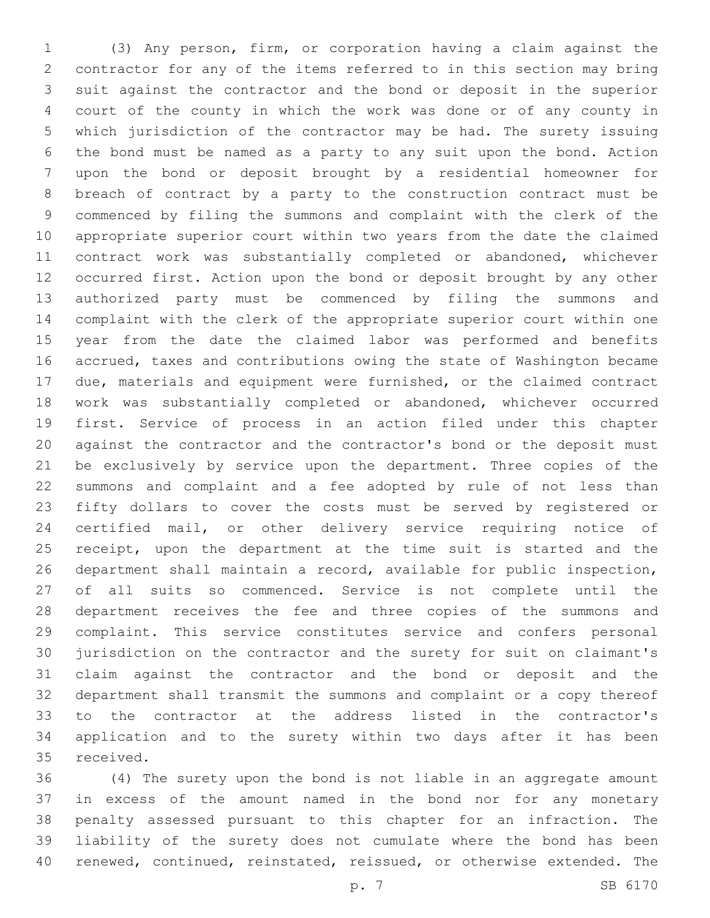(3) Any person, firm, or corporation having a claim against the contractor for any of the items referred to in this section may bring suit against the contractor and the bond or deposit in the superior court of the county in which the work was done or of any county in which jurisdiction of the contractor may be had. The surety issuing the bond must be named as a party to any suit upon the bond. Action upon the bond or deposit brought by a residential homeowner for breach of contract by a party to the construction contract must be commenced by filing the summons and complaint with the clerk of the appropriate superior court within two years from the date the claimed contract work was substantially completed or abandoned, whichever occurred first. Action upon the bond or deposit brought by any other authorized party must be commenced by filing the summons and complaint with the clerk of the appropriate superior court within one year from the date the claimed labor was performed and benefits accrued, taxes and contributions owing the state of Washington became due, materials and equipment were furnished, or the claimed contract work was substantially completed or abandoned, whichever occurred first. Service of process in an action filed under this chapter against the contractor and the contractor's bond or the deposit must be exclusively by service upon the department. Three copies of the summons and complaint and a fee adopted by rule of not less than fifty dollars to cover the costs must be served by registered or certified mail, or other delivery service requiring notice of 25 receipt, upon the department at the time suit is started and the department shall maintain a record, available for public inspection, of all suits so commenced. Service is not complete until the department receives the fee and three copies of the summons and complaint. This service constitutes service and confers personal jurisdiction on the contractor and the surety for suit on claimant's claim against the contractor and the bond or deposit and the department shall transmit the summons and complaint or a copy thereof to the contractor at the address listed in the contractor's application and to the surety within two days after it has been 35 received.

 (4) The surety upon the bond is not liable in an aggregate amount in excess of the amount named in the bond nor for any monetary penalty assessed pursuant to this chapter for an infraction. The liability of the surety does not cumulate where the bond has been renewed, continued, reinstated, reissued, or otherwise extended. The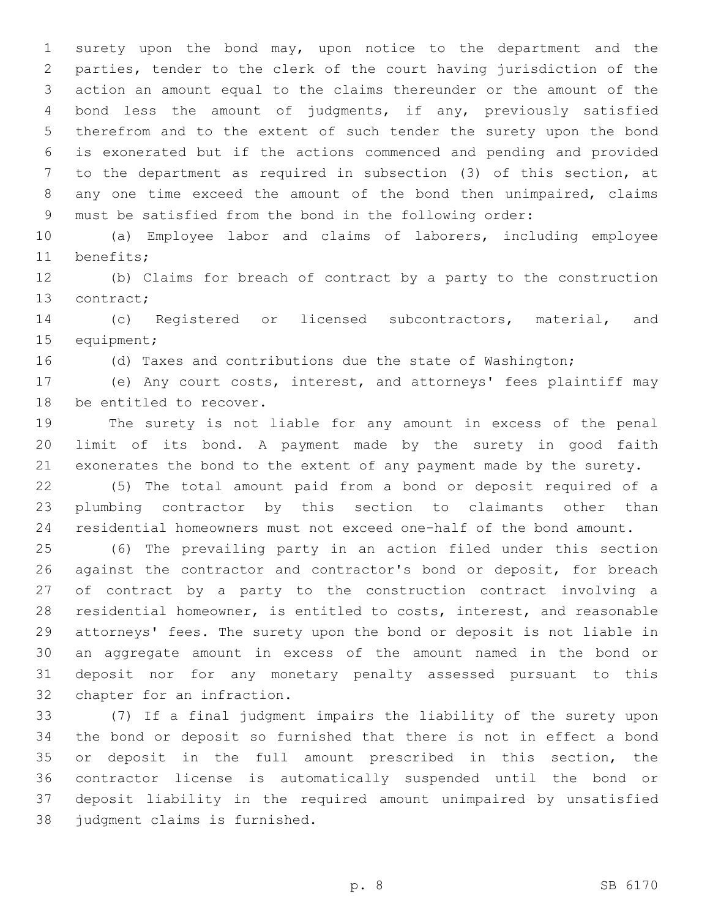surety upon the bond may, upon notice to the department and the parties, tender to the clerk of the court having jurisdiction of the action an amount equal to the claims thereunder or the amount of the bond less the amount of judgments, if any, previously satisfied therefrom and to the extent of such tender the surety upon the bond is exonerated but if the actions commenced and pending and provided to the department as required in subsection (3) of this section, at any one time exceed the amount of the bond then unimpaired, claims must be satisfied from the bond in the following order:

 (a) Employee labor and claims of laborers, including employee 11 benefits;

 (b) Claims for breach of contract by a party to the construction 13 contract;

 (c) Registered or licensed subcontractors, material, and 15 equipment;

(d) Taxes and contributions due the state of Washington;

 (e) Any court costs, interest, and attorneys' fees plaintiff may 18 be entitled to recover.

 The surety is not liable for any amount in excess of the penal limit of its bond. A payment made by the surety in good faith exonerates the bond to the extent of any payment made by the surety.

 (5) The total amount paid from a bond or deposit required of a plumbing contractor by this section to claimants other than residential homeowners must not exceed one-half of the bond amount.

 (6) The prevailing party in an action filed under this section against the contractor and contractor's bond or deposit, for breach of contract by a party to the construction contract involving a residential homeowner, is entitled to costs, interest, and reasonable attorneys' fees. The surety upon the bond or deposit is not liable in an aggregate amount in excess of the amount named in the bond or deposit nor for any monetary penalty assessed pursuant to this 32 chapter for an infraction.

 (7) If a final judgment impairs the liability of the surety upon the bond or deposit so furnished that there is not in effect a bond or deposit in the full amount prescribed in this section, the contractor license is automatically suspended until the bond or deposit liability in the required amount unimpaired by unsatisfied 38 judgment claims is furnished.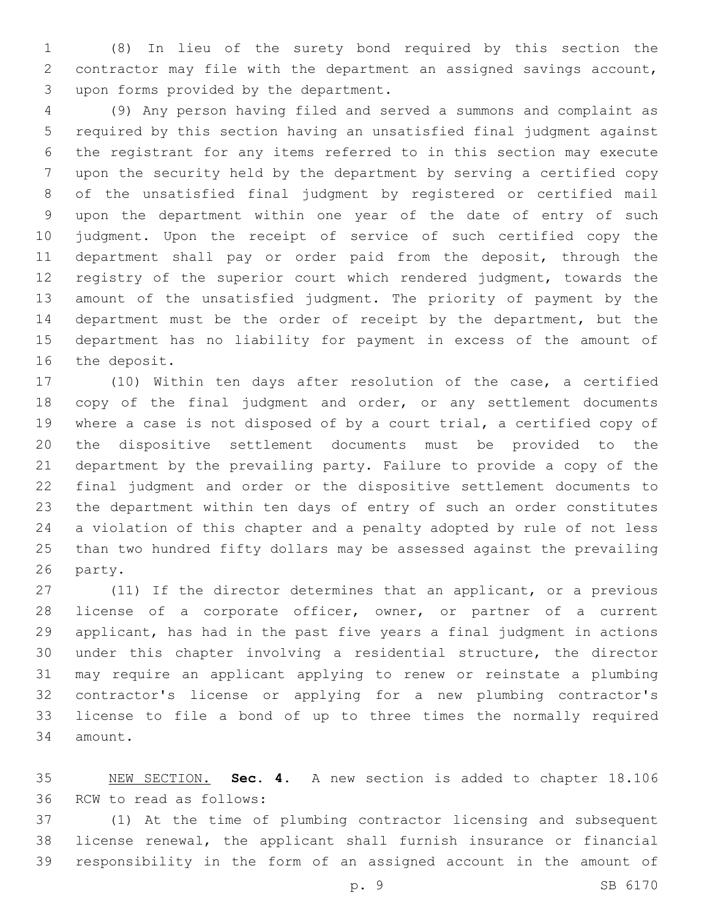(8) In lieu of the surety bond required by this section the contractor may file with the department an assigned savings account, 3 upon forms provided by the department.

 (9) Any person having filed and served a summons and complaint as required by this section having an unsatisfied final judgment against the registrant for any items referred to in this section may execute upon the security held by the department by serving a certified copy of the unsatisfied final judgment by registered or certified mail upon the department within one year of the date of entry of such judgment. Upon the receipt of service of such certified copy the department shall pay or order paid from the deposit, through the registry of the superior court which rendered judgment, towards the amount of the unsatisfied judgment. The priority of payment by the department must be the order of receipt by the department, but the department has no liability for payment in excess of the amount of 16 the deposit.

 (10) Within ten days after resolution of the case, a certified 18 copy of the final judgment and order, or any settlement documents where a case is not disposed of by a court trial, a certified copy of the dispositive settlement documents must be provided to the department by the prevailing party. Failure to provide a copy of the final judgment and order or the dispositive settlement documents to the department within ten days of entry of such an order constitutes a violation of this chapter and a penalty adopted by rule of not less than two hundred fifty dollars may be assessed against the prevailing 26 party.

 (11) If the director determines that an applicant, or a previous 28 license of a corporate officer, owner, or partner of a current applicant, has had in the past five years a final judgment in actions under this chapter involving a residential structure, the director may require an applicant applying to renew or reinstate a plumbing contractor's license or applying for a new plumbing contractor's license to file a bond of up to three times the normally required 34 amount.

 NEW SECTION. **Sec. 4.** A new section is added to chapter 18.106 36 RCW to read as follows:

 (1) At the time of plumbing contractor licensing and subsequent license renewal, the applicant shall furnish insurance or financial responsibility in the form of an assigned account in the amount of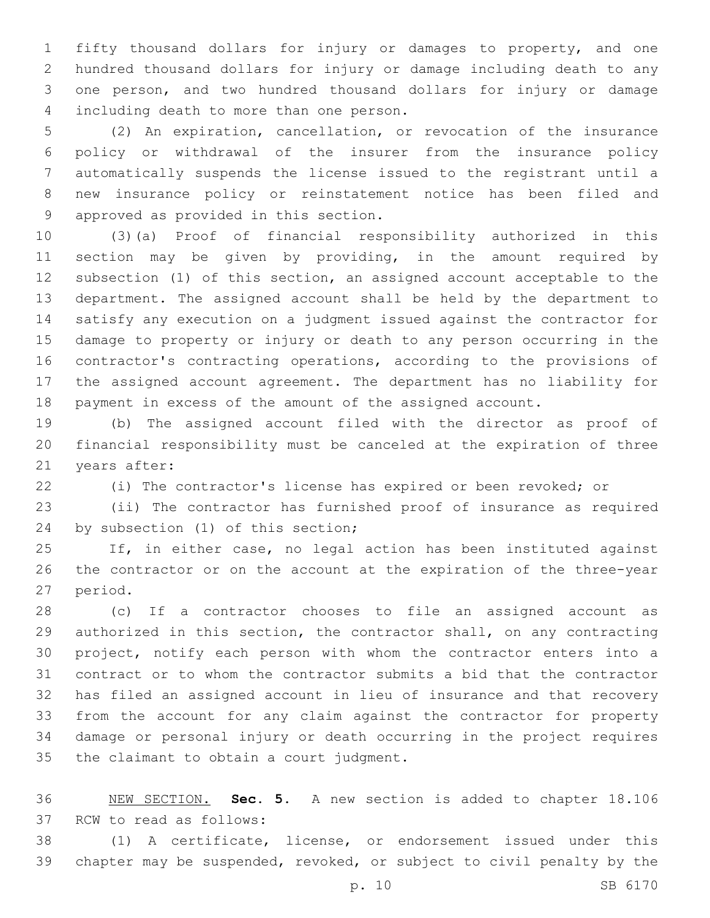fifty thousand dollars for injury or damages to property, and one hundred thousand dollars for injury or damage including death to any one person, and two hundred thousand dollars for injury or damage 4 including death to more than one person.

 (2) An expiration, cancellation, or revocation of the insurance policy or withdrawal of the insurer from the insurance policy automatically suspends the license issued to the registrant until a new insurance policy or reinstatement notice has been filed and 9 approved as provided in this section.

 (3)(a) Proof of financial responsibility authorized in this section may be given by providing, in the amount required by subsection (1) of this section, an assigned account acceptable to the department. The assigned account shall be held by the department to satisfy any execution on a judgment issued against the contractor for damage to property or injury or death to any person occurring in the contractor's contracting operations, according to the provisions of the assigned account agreement. The department has no liability for payment in excess of the amount of the assigned account.

 (b) The assigned account filed with the director as proof of financial responsibility must be canceled at the expiration of three 21 years after:

(i) The contractor's license has expired or been revoked; or

 (ii) The contractor has furnished proof of insurance as required 24 by subsection (1) of this section;

 If, in either case, no legal action has been instituted against the contractor or on the account at the expiration of the three-year 27 period.

 (c) If a contractor chooses to file an assigned account as authorized in this section, the contractor shall, on any contracting project, notify each person with whom the contractor enters into a contract or to whom the contractor submits a bid that the contractor has filed an assigned account in lieu of insurance and that recovery from the account for any claim against the contractor for property damage or personal injury or death occurring in the project requires 35 the claimant to obtain a court judgment.

 NEW SECTION. **Sec. 5.** A new section is added to chapter 18.106 37 RCW to read as follows:

 (1) A certificate, license, or endorsement issued under this chapter may be suspended, revoked, or subject to civil penalty by the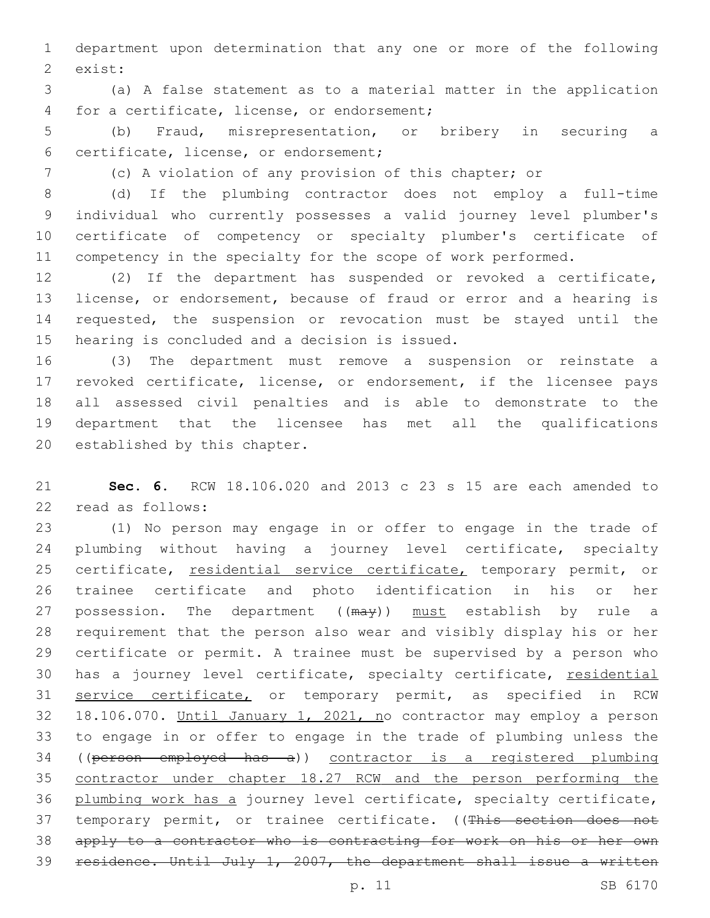department upon determination that any one or more of the following 2 exist:

 (a) A false statement as to a material matter in the application 4 for a certificate, license, or endorsement;

 (b) Fraud, misrepresentation, or bribery in securing a certificate, license, or endorsement;6

(c) A violation of any provision of this chapter; or

 (d) If the plumbing contractor does not employ a full-time individual who currently possesses a valid journey level plumber's certificate of competency or specialty plumber's certificate of 11 competency in the specialty for the scope of work performed.

 (2) If the department has suspended or revoked a certificate, license, or endorsement, because of fraud or error and a hearing is requested, the suspension or revocation must be stayed until the 15 hearing is concluded and a decision is issued.

 (3) The department must remove a suspension or reinstate a revoked certificate, license, or endorsement, if the licensee pays all assessed civil penalties and is able to demonstrate to the department that the licensee has met all the qualifications 20 established by this chapter.

 **Sec. 6.** RCW 18.106.020 and 2013 c 23 s 15 are each amended to 22 read as follows:

 (1) No person may engage in or offer to engage in the trade of plumbing without having a journey level certificate, specialty 25 certificate, residential service certificate, temporary permit, or trainee certificate and photo identification in his or her 27 possession. The department ((may)) must establish by rule a requirement that the person also wear and visibly display his or her certificate or permit. A trainee must be supervised by a person who 30 has a journey level certificate, specialty certificate, residential 31 service certificate, or temporary permit, as specified in RCW 18.106.070. Until January 1, 2021, no contractor may employ a person to engage in or offer to engage in the trade of plumbing unless the ((person employed has a)) contractor is a registered plumbing contractor under chapter 18.27 RCW and the person performing the plumbing work has a journey level certificate, specialty certificate, 37 temporary permit, or trainee certificate. ((This section does not apply to a contractor who is contracting for work on his or her own residence. Until July 1, 2007, the department shall issue a written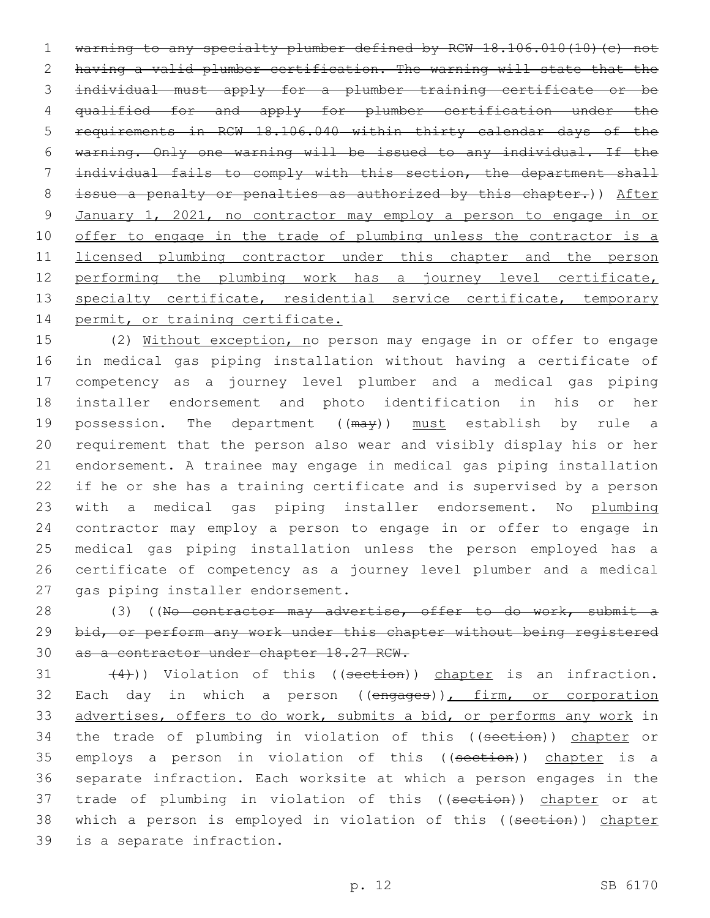warning to any specialty plumber defined by RCW 18.106.010(10)(c) not having a valid plumber certification. The warning will state that the individual must apply for a plumber training certificate or be qualified for and apply for plumber certification under the requirements in RCW 18.106.040 within thirty calendar days of the warning. Only one warning will be issued to any individual. If the individual fails to comply with this section, the department shall 8 issue a penalty or penalties as authorized by this chapter.)) After January 1, 2021, no contractor may employ a person to engage in or 10 offer to engage in the trade of plumbing unless the contractor is a licensed plumbing contractor under this chapter and the person 12 performing the plumbing work has a journey level certificate, 13 specialty certificate, residential service certificate, temporary 14 permit, or training certificate.

 (2) Without exception, no person may engage in or offer to engage in medical gas piping installation without having a certificate of competency as a journey level plumber and a medical gas piping installer endorsement and photo identification in his or her 19 possession. The department ((may)) must establish by rule a requirement that the person also wear and visibly display his or her endorsement. A trainee may engage in medical gas piping installation if he or she has a training certificate and is supervised by a person 23 with a medical gas piping installer endorsement. No plumbing contractor may employ a person to engage in or offer to engage in medical gas piping installation unless the person employed has a certificate of competency as a journey level plumber and a medical 27 gas piping installer endorsement.

28 (3) ((No contractor may advertise, offer to do work, submit a 29 bid, or perform any work under this chapter without being registered 30 as a contractor under chapter 18.27 RCW.

 $(4)$ )) Violation of this ((section)) chapter is an infraction. 32 Each day in which a person ((engages)), firm, or corporation 33 advertises, offers to do work, submits a bid, or performs any work in 34 the trade of plumbing in violation of this ((section)) chapter or 35 employs a person in violation of this ((section)) chapter is a 36 separate infraction. Each worksite at which a person engages in the 37 trade of plumbing in violation of this ((section)) chapter or at 38 which a person is employed in violation of this ((section)) chapter 39 is a separate infraction.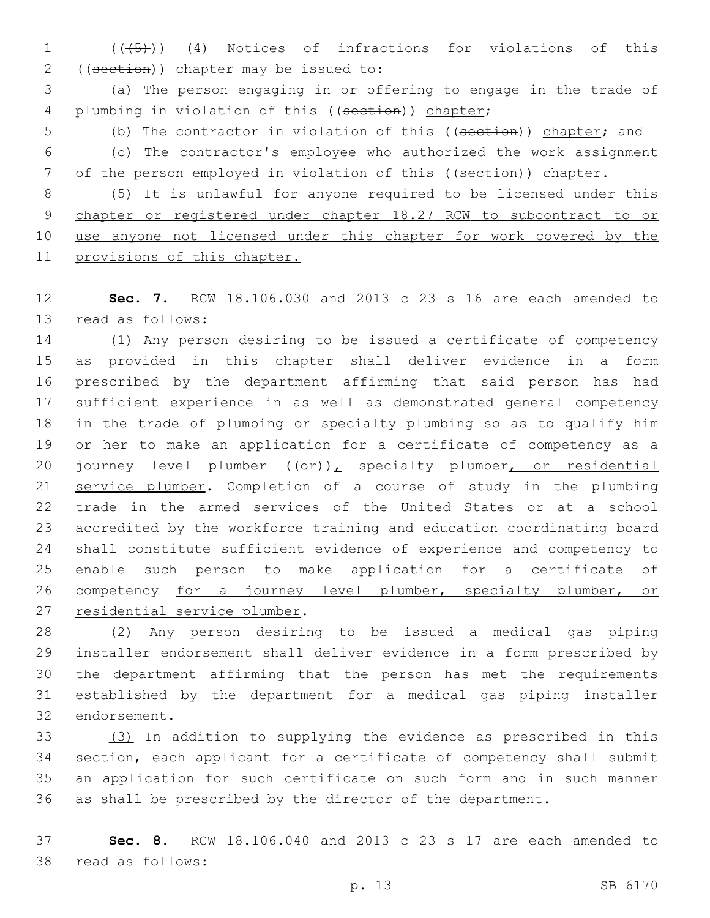1 (( $(45)$ )) (4) Notices of infractions for violations of this 2 ((section)) chapter may be issued to:

 (a) The person engaging in or offering to engage in the trade of 4 plumbing in violation of this ((section)) chapter;

5 (b) The contractor in violation of this ((section)) chapter; and

 (c) The contractor's employee who authorized the work assignment 7 of the person employed in violation of this ((section)) chapter.

 (5) It is unlawful for anyone required to be licensed under this chapter or registered under chapter 18.27 RCW to subcontract to or 10 use anyone not licensed under this chapter for work covered by the provisions of this chapter.

 **Sec. 7.** RCW 18.106.030 and 2013 c 23 s 16 are each amended to 13 read as follows:

 (1) Any person desiring to be issued a certificate of competency as provided in this chapter shall deliver evidence in a form prescribed by the department affirming that said person has had sufficient experience in as well as demonstrated general competency in the trade of plumbing or specialty plumbing so as to qualify him or her to make an application for a certificate of competency as a 20 journey level plumber  $((\theta \hat{r}))_L$  specialty plumber, or residential service plumber. Completion of a course of study in the plumbing trade in the armed services of the United States or at a school accredited by the workforce training and education coordinating board shall constitute sufficient evidence of experience and competency to enable such person to make application for a certificate of 26 competency for a journey level plumber, specialty plumber, or 27 residential service plumber.

 (2) Any person desiring to be issued a medical gas piping installer endorsement shall deliver evidence in a form prescribed by the department affirming that the person has met the requirements established by the department for a medical gas piping installer 32 endorsement.

 (3) In addition to supplying the evidence as prescribed in this section, each applicant for a certificate of competency shall submit an application for such certificate on such form and in such manner as shall be prescribed by the director of the department.

 **Sec. 8.** RCW 18.106.040 and 2013 c 23 s 17 are each amended to 38 read as follows: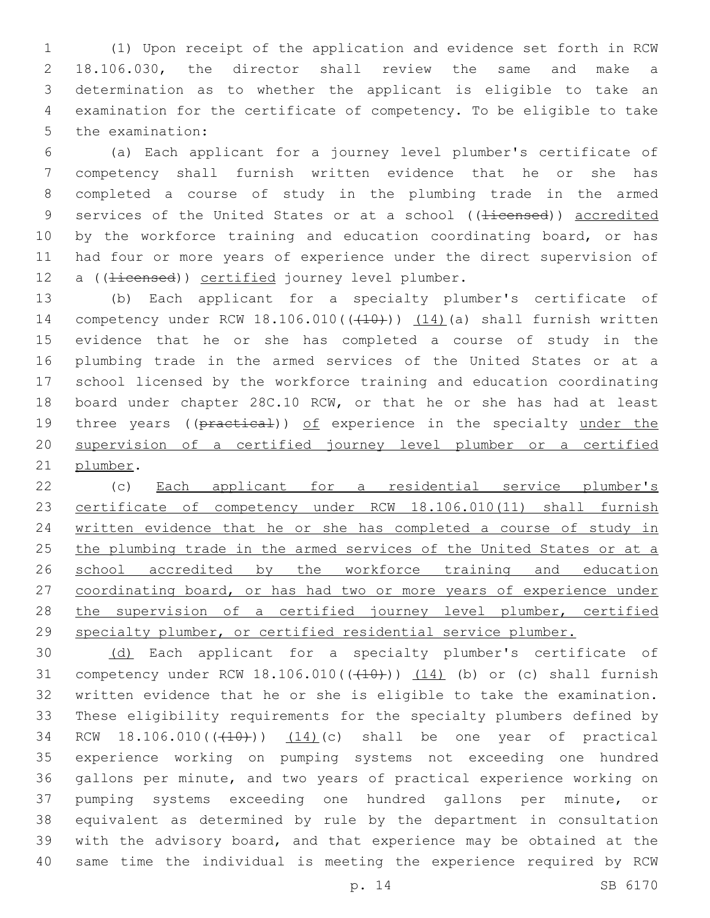(1) Upon receipt of the application and evidence set forth in RCW 18.106.030, the director shall review the same and make a determination as to whether the applicant is eligible to take an examination for the certificate of competency. To be eligible to take 5 the examination:

 (a) Each applicant for a journey level plumber's certificate of competency shall furnish written evidence that he or she has completed a course of study in the plumbing trade in the armed 9 services of the United States or at a school ((<del>licensed</del>)) accredited 10 by the workforce training and education coordinating board, or has had four or more years of experience under the direct supervision of 12 a ((<del>licensed</del>)) certified journey level plumber.

 (b) Each applicant for a specialty plumber's certificate of 14 competency under RCW 18.106.010(((410))) (14)(a) shall furnish written evidence that he or she has completed a course of study in the plumbing trade in the armed services of the United States or at a school licensed by the workforce training and education coordinating board under chapter 28C.10 RCW, or that he or she has had at least 19 three years ((practical)) of experience in the specialty under the supervision of a certified journey level plumber or a certified 21 plumber.

 (c) Each applicant for a residential service plumber's certificate of competency under RCW 18.106.010(11) shall furnish written evidence that he or she has completed a course of study in 25 the plumbing trade in the armed services of the United States or at a 26 school accredited by the workforce training and education 27 coordinating board, or has had two or more years of experience under 28 the supervision of a certified journey level plumber, certified specialty plumber, or certified residential service plumber.

 (d) Each applicant for a specialty plumber's certificate of 31 competency under RCW  $18.106.010$  ( $(410)$ ))  $(14)$  (b) or (c) shall furnish written evidence that he or she is eligible to take the examination. These eligibility requirements for the specialty plumbers defined by 34 RCW 18.106.010(((410))) (14)(c) shall be one year of practical experience working on pumping systems not exceeding one hundred gallons per minute, and two years of practical experience working on pumping systems exceeding one hundred gallons per minute, or equivalent as determined by rule by the department in consultation with the advisory board, and that experience may be obtained at the same time the individual is meeting the experience required by RCW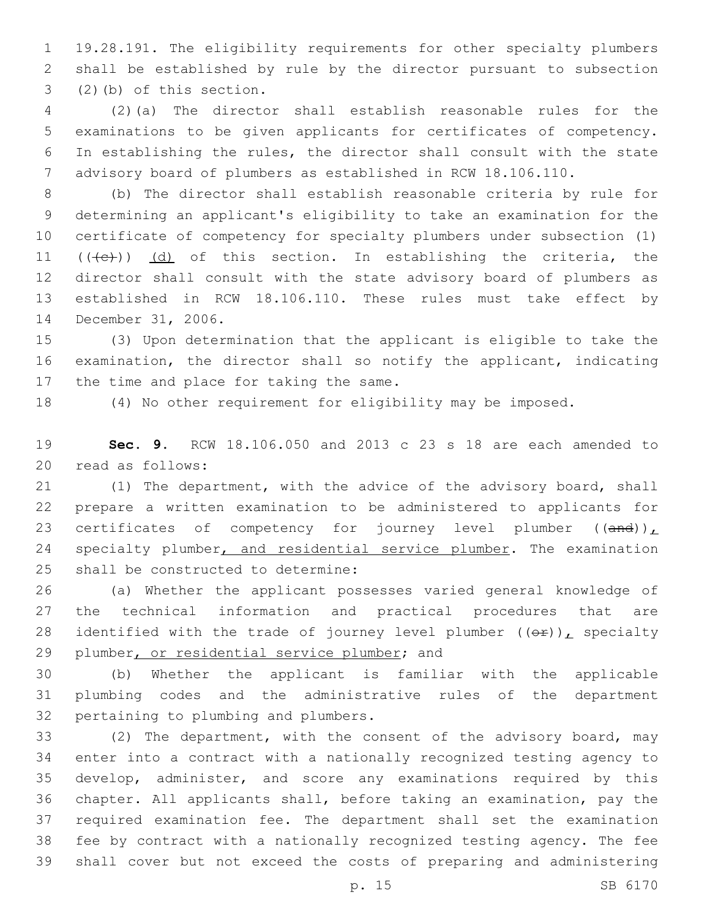19.28.191. The eligibility requirements for other specialty plumbers shall be established by rule by the director pursuant to subsection  $(2)$  (b) of this section.

 (2)(a) The director shall establish reasonable rules for the examinations to be given applicants for certificates of competency. In establishing the rules, the director shall consult with the state advisory board of plumbers as established in RCW 18.106.110.

 (b) The director shall establish reasonable criteria by rule for determining an applicant's eligibility to take an examination for the certificate of competency for specialty plumbers under subsection (1)  $((+e))$   $(d)$  of this section. In establishing the criteria, the director shall consult with the state advisory board of plumbers as established in RCW 18.106.110. These rules must take effect by 14 December 31, 2006.

 (3) Upon determination that the applicant is eligible to take the examination, the director shall so notify the applicant, indicating 17 the time and place for taking the same.

(4) No other requirement for eligibility may be imposed.

 **Sec. 9.** RCW 18.106.050 and 2013 c 23 s 18 are each amended to 20 read as follows:

 (1) The department, with the advice of the advisory board, shall prepare a written examination to be administered to applicants for 23 certificates of competency for journey level plumber  $((and))_L$ 24 specialty plumber, and residential service plumber. The examination 25 shall be constructed to determine:

 (a) Whether the applicant possesses varied general knowledge of the technical information and practical procedures that are 28 identified with the trade of journey level plumber  $((\theta \cdot \mathbf{r}))$ , specialty 29 plumber, or residential service plumber; and

 (b) Whether the applicant is familiar with the applicable plumbing codes and the administrative rules of the department 32 pertaining to plumbing and plumbers.

 (2) The department, with the consent of the advisory board, may enter into a contract with a nationally recognized testing agency to develop, administer, and score any examinations required by this chapter. All applicants shall, before taking an examination, pay the required examination fee. The department shall set the examination fee by contract with a nationally recognized testing agency. The fee shall cover but not exceed the costs of preparing and administering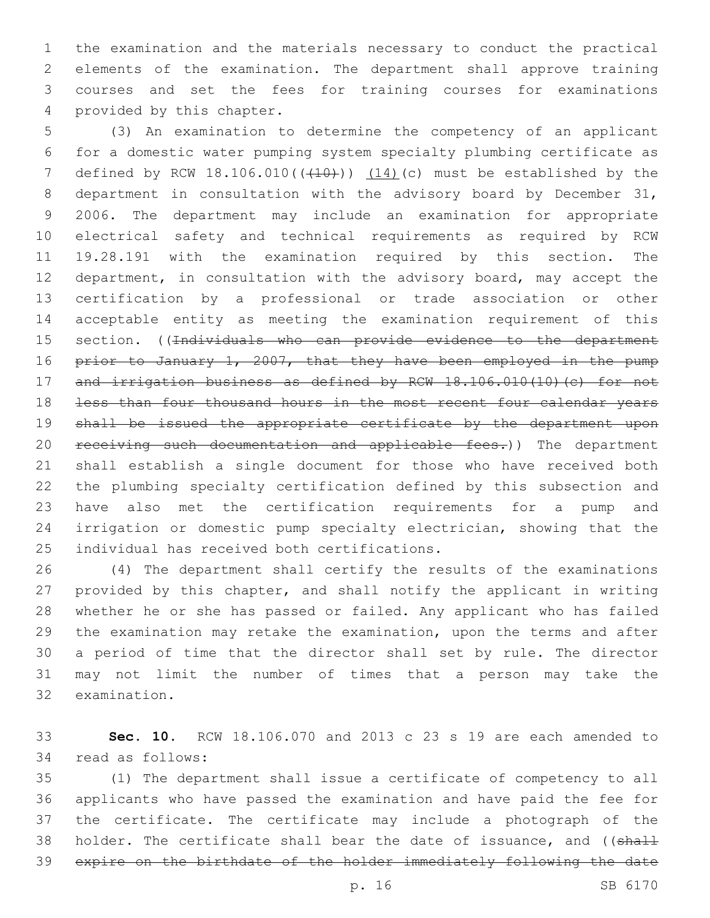the examination and the materials necessary to conduct the practical elements of the examination. The department shall approve training courses and set the fees for training courses for examinations 4 provided by this chapter.

 (3) An examination to determine the competency of an applicant for a domestic water pumping system specialty plumbing certificate as 7 defined by RCW  $18.106.010$  ( $(410+)$ )  $(14)$  (c) must be established by the department in consultation with the advisory board by December 31, 2006. The department may include an examination for appropriate electrical safety and technical requirements as required by RCW 19.28.191 with the examination required by this section. The department, in consultation with the advisory board, may accept the certification by a professional or trade association or other acceptable entity as meeting the examination requirement of this 15 section. ((Individuals who can provide evidence to the department 16 prior to January 1, 2007, that they have been employed in the pump 17 and irrigation business as defined by RCW 18.106.010(10)(c) for not less than four thousand hours in the most recent four calendar years shall be issued the appropriate certificate by the department upon 20 receiving such documentation and applicable fees.)) The department shall establish a single document for those who have received both the plumbing specialty certification defined by this subsection and have also met the certification requirements for a pump and irrigation or domestic pump specialty electrician, showing that the 25 individual has received both certifications.

 (4) The department shall certify the results of the examinations provided by this chapter, and shall notify the applicant in writing whether he or she has passed or failed. Any applicant who has failed the examination may retake the examination, upon the terms and after a period of time that the director shall set by rule. The director may not limit the number of times that a person may take the 32 examination.

 **Sec. 10.** RCW 18.106.070 and 2013 c 23 s 19 are each amended to 34 read as follows:

 (1) The department shall issue a certificate of competency to all applicants who have passed the examination and have paid the fee for the certificate. The certificate may include a photograph of the 38 holder. The certificate shall bear the date of issuance, and ((shall expire on the birthdate of the holder immediately following the date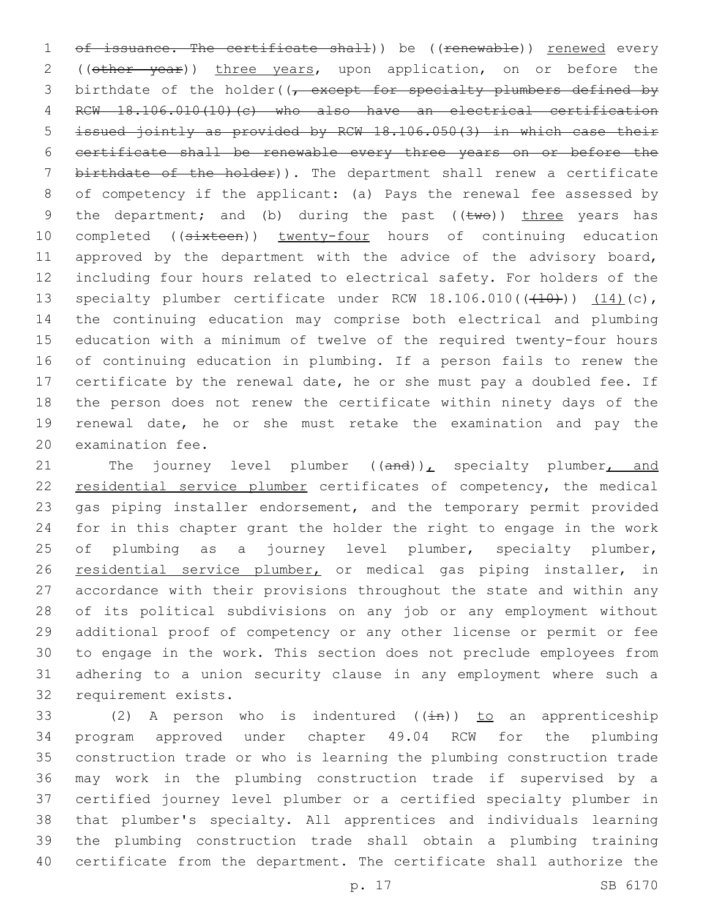1 of issuance. The certificate shall)) be ((renewable)) renewed every 2 ((other year)) three years, upon application, on or before the 3 birthdate of the holder( $\sqrt{t}$  except for specialty plumbers defined by RCW 18.106.010(10)(c) who also have an electrical certification issued jointly as provided by RCW 18.106.050(3) in which case their certificate shall be renewable every three years on or before the birthdate of the holder)). The department shall renew a certificate of competency if the applicant: (a) Pays the renewal fee assessed by 9 the department; and (b) during the past  $((\text{two}))$  three years has 10 completed ((sixteen)) twenty-four hours of continuing education 11 approved by the department with the advice of the advisory board, including four hours related to electrical safety. For holders of the 13 specialty plumber certificate under RCW  $18.106.010((\text{+}10\text{+}))$   $(14)(c)$ , the continuing education may comprise both electrical and plumbing education with a minimum of twelve of the required twenty-four hours of continuing education in plumbing. If a person fails to renew the certificate by the renewal date, he or she must pay a doubled fee. If the person does not renew the certificate within ninety days of the renewal date, he or she must retake the examination and pay the 20 examination fee.

21 The journey level plumber  $((and))_L$  specialty plumber, and 22 residential service plumber certificates of competency, the medical gas piping installer endorsement, and the temporary permit provided for in this chapter grant the holder the right to engage in the work 25 of plumbing as a journey level plumber, specialty plumber, 26 residential service plumber, or medical gas piping installer, in accordance with their provisions throughout the state and within any of its political subdivisions on any job or any employment without additional proof of competency or any other license or permit or fee to engage in the work. This section does not preclude employees from adhering to a union security clause in any employment where such a 32 requirement exists.

33 (2) A person who is indentured  $(\pm n)$ ) to an apprenticeship program approved under chapter 49.04 RCW for the plumbing construction trade or who is learning the plumbing construction trade may work in the plumbing construction trade if supervised by a certified journey level plumber or a certified specialty plumber in that plumber's specialty. All apprentices and individuals learning the plumbing construction trade shall obtain a plumbing training certificate from the department. The certificate shall authorize the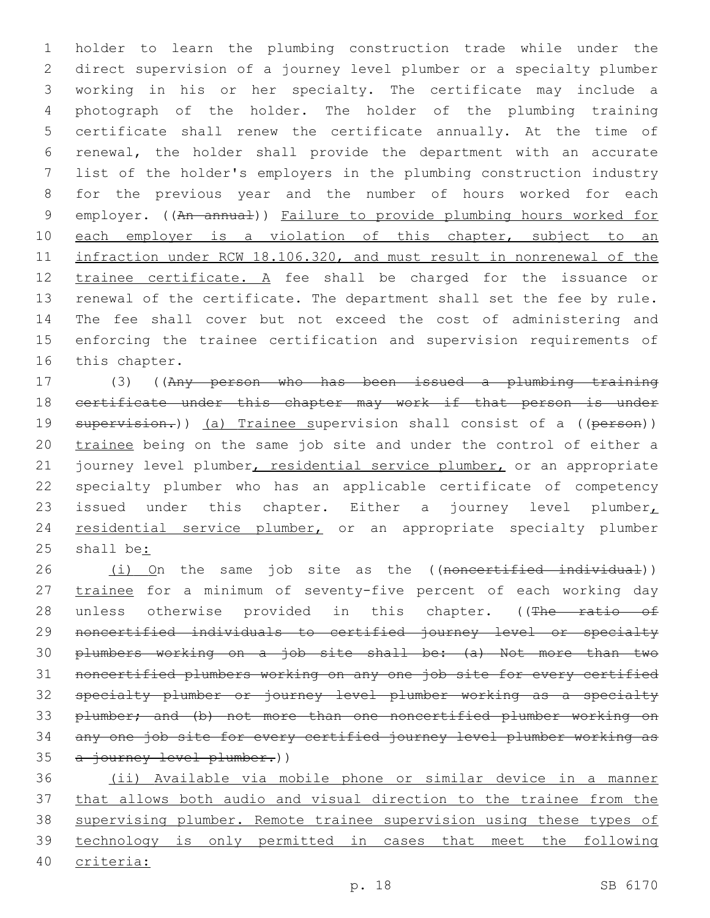holder to learn the plumbing construction trade while under the direct supervision of a journey level plumber or a specialty plumber working in his or her specialty. The certificate may include a photograph of the holder. The holder of the plumbing training certificate shall renew the certificate annually. At the time of renewal, the holder shall provide the department with an accurate list of the holder's employers in the plumbing construction industry for the previous year and the number of hours worked for each 9 employer. ((An annual)) Failure to provide plumbing hours worked for 10 each employer is a violation of this chapter, subject to an infraction under RCW 18.106.320, and must result in nonrenewal of the 12 trainee certificate. A fee shall be charged for the issuance or renewal of the certificate. The department shall set the fee by rule. The fee shall cover but not exceed the cost of administering and enforcing the trainee certification and supervision requirements of 16 this chapter.

 (3) ((Any person who has been issued a plumbing training certificate under this chapter may work if that person is under 19 supervision.)) (a) Trainee supervision shall consist of a ((person)) 20 trainee being on the same job site and under the control of either a 21 journey level plumber, residential service plumber, or an appropriate specialty plumber who has an applicable certificate of competency 23 issued under this chapter. Either a journey level plumber 24 residential service plumber, or an appropriate specialty plumber shall be:

26 (i) On the same job site as the ((noncertified individual)) 27 trainee for a minimum of seventy-five percent of each working day 28 unless otherwise provided in this chapter. ((The ratio of noncertified individuals to certified journey level or specialty plumbers working on a job site shall be: (a) Not more than two noncertified plumbers working on any one job site for every certified specialty plumber or journey level plumber working as a specialty plumber; and (b) not more than one noncertified plumber working on any one job site for every certified journey level plumber working as 35 a journey level plumber.))

 (ii) Available via mobile phone or similar device in a manner that allows both audio and visual direction to the trainee from the supervising plumber. Remote trainee supervision using these types of technology is only permitted in cases that meet the following criteria: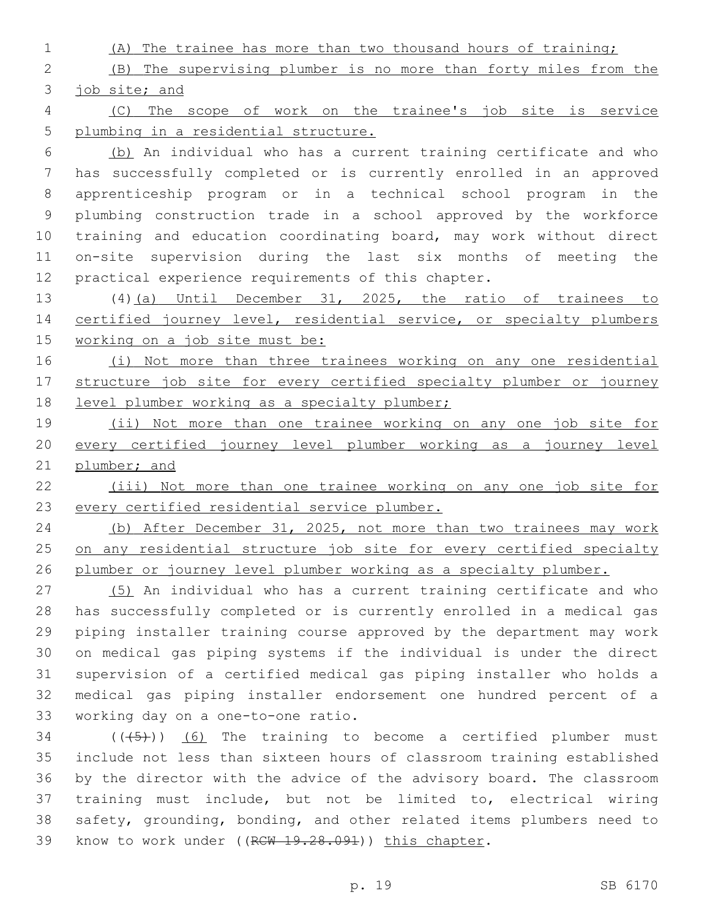(A) The trainee has more than two thousand hours of training;

 (B) The supervising plumber is no more than forty miles from the job site; and

 (C) The scope of work on the trainee's job site is service plumbing in a residential structure.

 (b) An individual who has a current training certificate and who has successfully completed or is currently enrolled in an approved apprenticeship program or in a technical school program in the plumbing construction trade in a school approved by the workforce training and education coordinating board, may work without direct on-site supervision during the last six months of meeting the practical experience requirements of this chapter.

 (4)(a) Until December 31, 2025, the ratio of trainees to 14 certified journey level, residential service, or specialty plumbers working on a job site must be:

 (i) Not more than three trainees working on any one residential structure job site for every certified specialty plumber or journey 18 level plumber working as a specialty plumber;

 (ii) Not more than one trainee working on any one job site for every certified journey level plumber working as a journey level plumber; and

 (iii) Not more than one trainee working on any one job site for every certified residential service plumber.

 (b) After December 31, 2025, not more than two trainees may work 25 on any residential structure job site for every certified specialty plumber or journey level plumber working as a specialty plumber.

 (5) An individual who has a current training certificate and who has successfully completed or is currently enrolled in a medical gas piping installer training course approved by the department may work on medical gas piping systems if the individual is under the direct supervision of a certified medical gas piping installer who holds a medical gas piping installer endorsement one hundred percent of a 33 working day on a one-to-one ratio.

 ( $(\overline{(+5+})$ ) (6) The training to become a certified plumber must include not less than sixteen hours of classroom training established by the director with the advice of the advisory board. The classroom training must include, but not be limited to, electrical wiring safety, grounding, bonding, and other related items plumbers need to 39 know to work under ((RCW 19.28.091)) this chapter.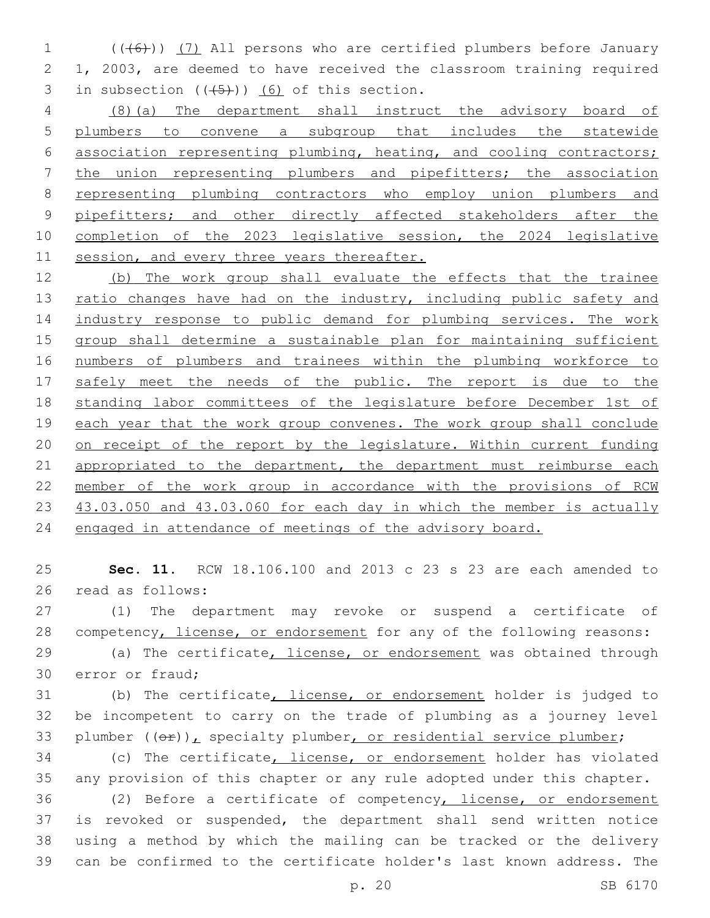(((6))) (7) All persons who are certified plumbers before January 1, 2003, are deemed to have received the classroom training required 3 in subsection  $((+5))$   $(6)$  of this section.

 (8)(a) The department shall instruct the advisory board of plumbers to convene a subgroup that includes the statewide association representing plumbing, heating, and cooling contractors; the union representing plumbers and pipefitters; the association representing plumbing contractors who employ union plumbers and 9 pipefitters; and other directly affected stakeholders after the completion of the 2023 legislative session, the 2024 legislative 11 session, and every three years thereafter.

 (b) The work group shall evaluate the effects that the trainee 13 ratio changes have had on the industry, including public safety and industry response to public demand for plumbing services. The work group shall determine a sustainable plan for maintaining sufficient numbers of plumbers and trainees within the plumbing workforce to 17 safely meet the needs of the public. The report is due to the standing labor committees of the legislature before December 1st of each year that the work group convenes. The work group shall conclude on receipt of the report by the legislature. Within current funding 21 appropriated to the department, the department must reimburse each member of the work group in accordance with the provisions of RCW 43.03.050 and 43.03.060 for each day in which the member is actually engaged in attendance of meetings of the advisory board.

 **Sec. 11.** RCW 18.106.100 and 2013 c 23 s 23 are each amended to 26 read as follows:

 (1) The department may revoke or suspend a certificate of competency, license, or endorsement for any of the following reasons:

29 (a) The certificate, license, or endorsement was obtained through 30 error or fraud;

 (b) The certificate, license, or endorsement holder is judged to be incompetent to carry on the trade of plumbing as a journey level 33 plumber  $((\theta \cdot \hat{r}))_L$  specialty plumber, or residential service plumber;

 (c) The certificate, license, or endorsement holder has violated any provision of this chapter or any rule adopted under this chapter.

 (2) Before a certificate of competency, license, or endorsement is revoked or suspended, the department shall send written notice using a method by which the mailing can be tracked or the delivery can be confirmed to the certificate holder's last known address. The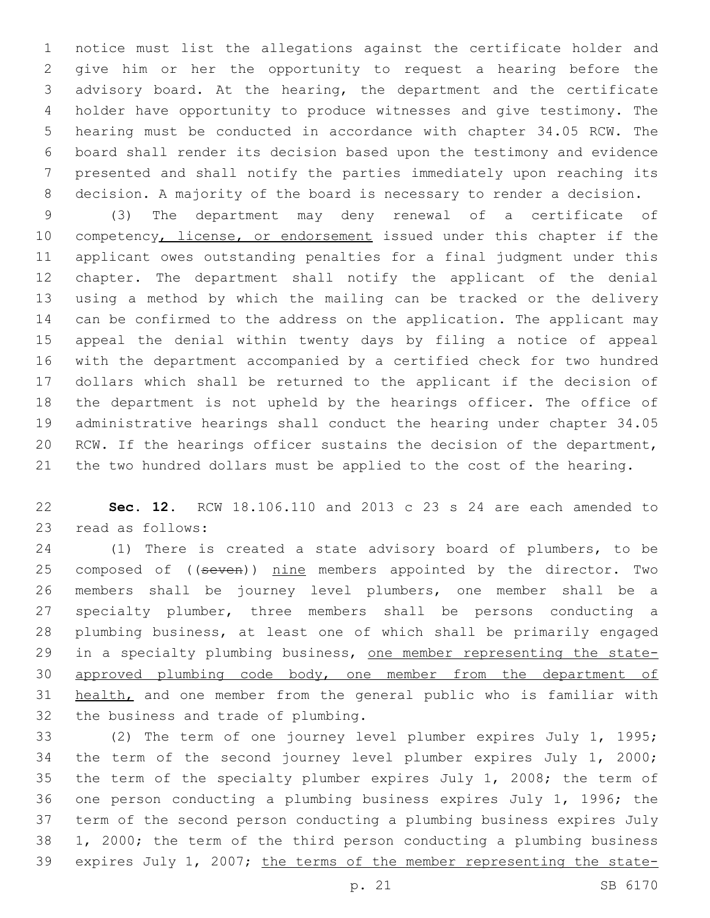notice must list the allegations against the certificate holder and give him or her the opportunity to request a hearing before the advisory board. At the hearing, the department and the certificate holder have opportunity to produce witnesses and give testimony. The hearing must be conducted in accordance with chapter 34.05 RCW. The board shall render its decision based upon the testimony and evidence presented and shall notify the parties immediately upon reaching its decision. A majority of the board is necessary to render a decision.

 (3) The department may deny renewal of a certificate of 10 competency, license, or endorsement issued under this chapter if the applicant owes outstanding penalties for a final judgment under this chapter. The department shall notify the applicant of the denial using a method by which the mailing can be tracked or the delivery can be confirmed to the address on the application. The applicant may appeal the denial within twenty days by filing a notice of appeal with the department accompanied by a certified check for two hundred dollars which shall be returned to the applicant if the decision of the department is not upheld by the hearings officer. The office of administrative hearings shall conduct the hearing under chapter 34.05 RCW. If the hearings officer sustains the decision of the department, the two hundred dollars must be applied to the cost of the hearing.

 **Sec. 12.** RCW 18.106.110 and 2013 c 23 s 24 are each amended to 23 read as follows:

 (1) There is created a state advisory board of plumbers, to be 25 composed of ((seven)) nine members appointed by the director. Two members shall be journey level plumbers, one member shall be a specialty plumber, three members shall be persons conducting a plumbing business, at least one of which shall be primarily engaged in a specialty plumbing business, one member representing the state- approved plumbing code body, one member from the department of 31 health, and one member from the general public who is familiar with 32 the business and trade of plumbing.

 (2) The term of one journey level plumber expires July 1, 1995; the term of the second journey level plumber expires July 1, 2000; the term of the specialty plumber expires July 1, 2008; the term of one person conducting a plumbing business expires July 1, 1996; the term of the second person conducting a plumbing business expires July 1, 2000; the term of the third person conducting a plumbing business expires July 1, 2007; the terms of the member representing the state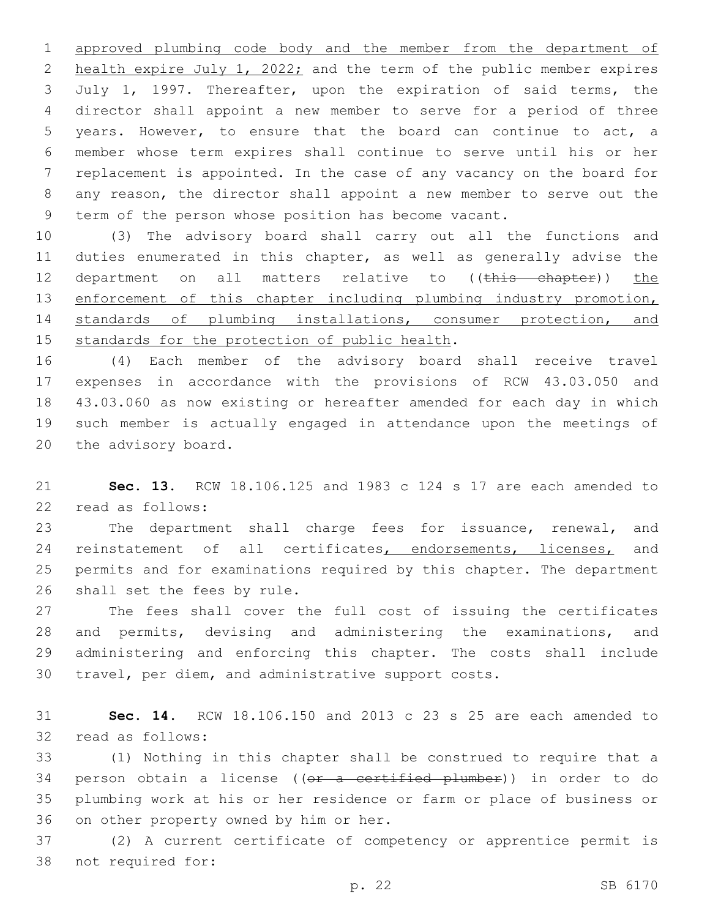approved plumbing code body and the member from the department of 2 health expire July 1, 2022; and the term of the public member expires July 1, 1997. Thereafter, upon the expiration of said terms, the director shall appoint a new member to serve for a period of three years. However, to ensure that the board can continue to act, a member whose term expires shall continue to serve until his or her replacement is appointed. In the case of any vacancy on the board for any reason, the director shall appoint a new member to serve out the term of the person whose position has become vacant.

 (3) The advisory board shall carry out all the functions and duties enumerated in this chapter, as well as generally advise the 12 department on all matters relative to ((this chapter)) the 13 enforcement of this chapter including plumbing industry promotion, standards of plumbing installations, consumer protection, and 15 standards for the protection of public health.

 (4) Each member of the advisory board shall receive travel expenses in accordance with the provisions of RCW 43.03.050 and 43.03.060 as now existing or hereafter amended for each day in which such member is actually engaged in attendance upon the meetings of 20 the advisory board.

 **Sec. 13.** RCW 18.106.125 and 1983 c 124 s 17 are each amended to 22 read as follows:

23 The department shall charge fees for issuance, renewal, and 24 reinstatement of all certificates, endorsements, licenses, and permits and for examinations required by this chapter. The department 26 shall set the fees by rule.

 The fees shall cover the full cost of issuing the certificates and permits, devising and administering the examinations, and administering and enforcing this chapter. The costs shall include travel, per diem, and administrative support costs.

 **Sec. 14.** RCW 18.106.150 and 2013 c 23 s 25 are each amended to 32 read as follows:

 (1) Nothing in this chapter shall be construed to require that a 34 person obtain a license ((or a certified plumber)) in order to do plumbing work at his or her residence or farm or place of business or 36 on other property owned by him or her.

 (2) A current certificate of competency or apprentice permit is 38 not required for: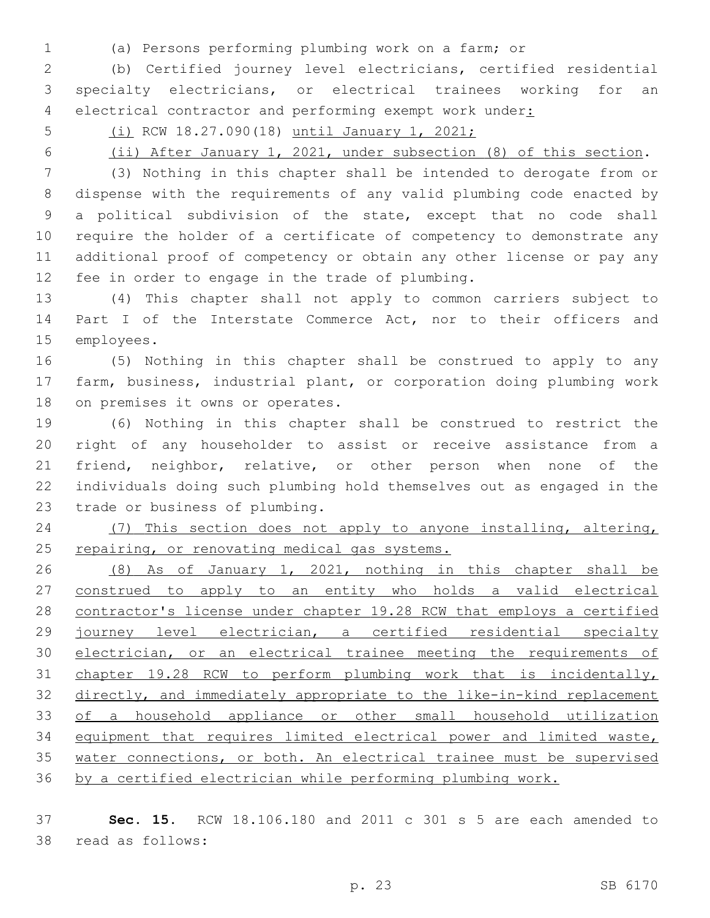- 
- (a) Persons performing plumbing work on a farm; or

 (b) Certified journey level electricians, certified residential specialty electricians, or electrical trainees working for an 4 electrical contractor and performing exempt work under:

(i) RCW 18.27.090(18) until January 1, 2021;

(ii) After January 1, 2021, under subsection (8) of this section.

 (3) Nothing in this chapter shall be intended to derogate from or dispense with the requirements of any valid plumbing code enacted by a political subdivision of the state, except that no code shall require the holder of a certificate of competency to demonstrate any additional proof of competency or obtain any other license or pay any 12 fee in order to engage in the trade of plumbing.

 (4) This chapter shall not apply to common carriers subject to 14 Part I of the Interstate Commerce Act, nor to their officers and 15 employees.

 (5) Nothing in this chapter shall be construed to apply to any farm, business, industrial plant, or corporation doing plumbing work 18 on premises it owns or operates.

 (6) Nothing in this chapter shall be construed to restrict the right of any householder to assist or receive assistance from a friend, neighbor, relative, or other person when none of the individuals doing such plumbing hold themselves out as engaged in the 23 trade or business of plumbing.

 (7) This section does not apply to anyone installing, altering, 25 repairing, or renovating medical gas systems.

 (8) As of January 1, 2021, nothing in this chapter shall be construed to apply to an entity who holds a valid electrical contractor's license under chapter 19.28 RCW that employs a certified journey level electrician, a certified residential specialty 30 electrician, or an electrical trainee meeting the requirements of chapter 19.28 RCW to perform plumbing work that is incidentally, directly, and immediately appropriate to the like-in-kind replacement of a household appliance or other small household utilization equipment that requires limited electrical power and limited waste, water connections, or both. An electrical trainee must be supervised by a certified electrician while performing plumbing work.

 **Sec. 15.** RCW 18.106.180 and 2011 c 301 s 5 are each amended to 38 read as follows: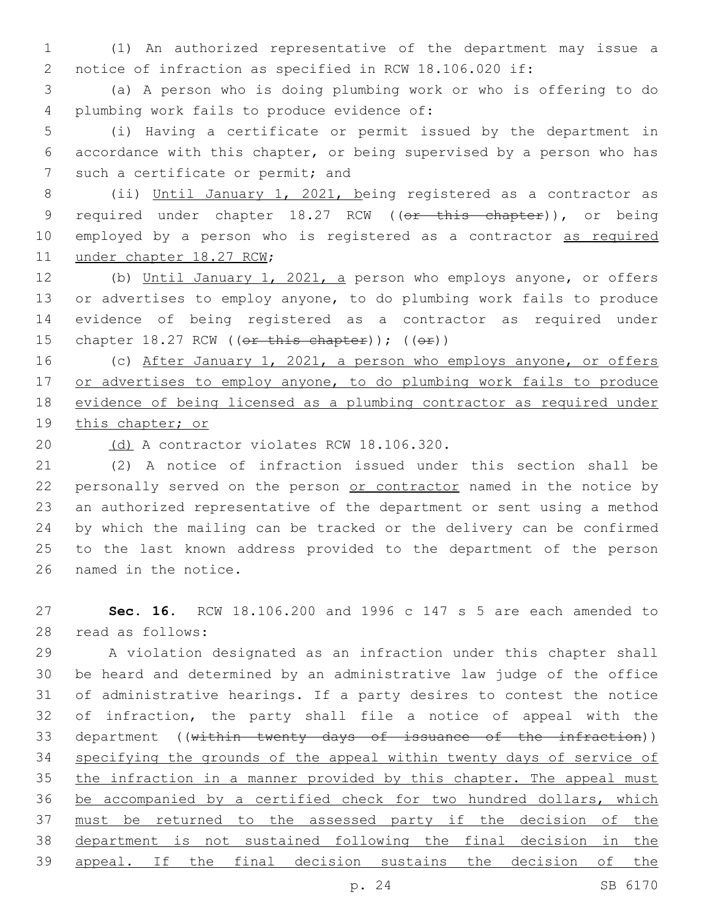1 (1) An authorized representative of the department may issue a 2 notice of infraction as specified in RCW 18.106.020 if:

3 (a) A person who is doing plumbing work or who is offering to do 4 plumbing work fails to produce evidence of:

5 (i) Having a certificate or permit issued by the department in 6 accordance with this chapter, or being supervised by a person who has 7 such a certificate or permit; and

8 (ii) Until January 1, 2021, being registered as a contractor as 9 required under chapter 18.27 RCW ((or this chapter)), or being 10 employed by a person who is registered as a contractor as required 11 under chapter 18.27 RCW;

 (b) Until January 1, 2021, a person who employs anyone, or offers or advertises to employ anyone, to do plumbing work fails to produce evidence of being registered as a contractor as required under 15 chapter  $18.27$  RCW ((or this chapter)); ((or))

16 (c) After January 1, 2021, a person who employs anyone, or offers 17 or advertises to employ anyone, to do plumbing work fails to produce 18 evidence of being licensed as a plumbing contractor as required under 19 this chapter; or

20 (d) A contractor violates RCW 18.106.320.

 (2) A notice of infraction issued under this section shall be 22 personally served on the person or contractor named in the notice by an authorized representative of the department or sent using a method by which the mailing can be tracked or the delivery can be confirmed to the last known address provided to the department of the person 26 named in the notice.

27 **Sec. 16.** RCW 18.106.200 and 1996 c 147 s 5 are each amended to 28 read as follows:

 A violation designated as an infraction under this chapter shall be heard and determined by an administrative law judge of the office of administrative hearings. If a party desires to contest the notice of infraction, the party shall file a notice of appeal with the department ((within twenty days of issuance of the infraction)) 34 specifying the grounds of the appeal within twenty days of service of 35 the infraction in a manner provided by this chapter. The appeal must be accompanied by a certified check for two hundred dollars, which must be returned to the assessed party if the decision of the department is not sustained following the final decision in the appeal. If the final decision sustains the decision of the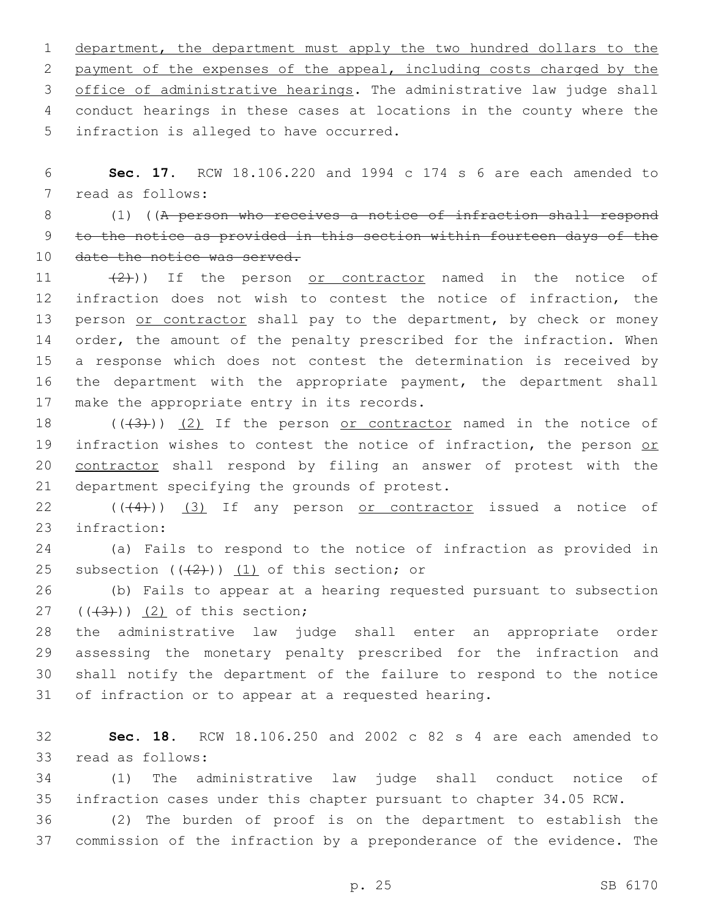department, the department must apply the two hundred dollars to the payment of the expenses of the appeal, including costs charged by the office of administrative hearings. The administrative law judge shall conduct hearings in these cases at locations in the county where the 5 infraction is alleged to have occurred.

6 **Sec. 17.** RCW 18.106.220 and 1994 c 174 s 6 are each amended to 7 read as follows:

8 (1) ((A person who receives a notice of infraction shall respond 9 to the notice as provided in this section within fourteen days of the 10 date the notice was served.

11  $(2)$ )) If the person <u>or contractor</u> named in the notice of 12 infraction does not wish to contest the notice of infraction, the 13 person or contractor shall pay to the department, by check or money 14 order, the amount of the penalty prescribed for the infraction. When 15 a response which does not contest the determination is received by 16 the department with the appropriate payment, the department shall 17 make the appropriate entry in its records.

18  $((+3+))$   $(2)$  If the person or contractor named in the notice of 19 infraction wishes to contest the notice of infraction, the person or 20 contractor shall respond by filing an answer of protest with the 21 department specifying the grounds of protest.

22 (((4))) (3) If any person or contractor issued a notice of 23 infraction:

24 (a) Fails to respond to the notice of infraction as provided in 25 subsection  $((2+))$   $(1)$  of this section; or

26 (b) Fails to appear at a hearing requested pursuant to subsection  $(43)$ )  $(2)$  of this section;

 the administrative law judge shall enter an appropriate order assessing the monetary penalty prescribed for the infraction and shall notify the department of the failure to respond to the notice of infraction or to appear at a requested hearing.

32 **Sec. 18.** RCW 18.106.250 and 2002 c 82 s 4 are each amended to 33 read as follows:

34 (1) The administrative law judge shall conduct notice of 35 infraction cases under this chapter pursuant to chapter 34.05 RCW.

36 (2) The burden of proof is on the department to establish the 37 commission of the infraction by a preponderance of the evidence. The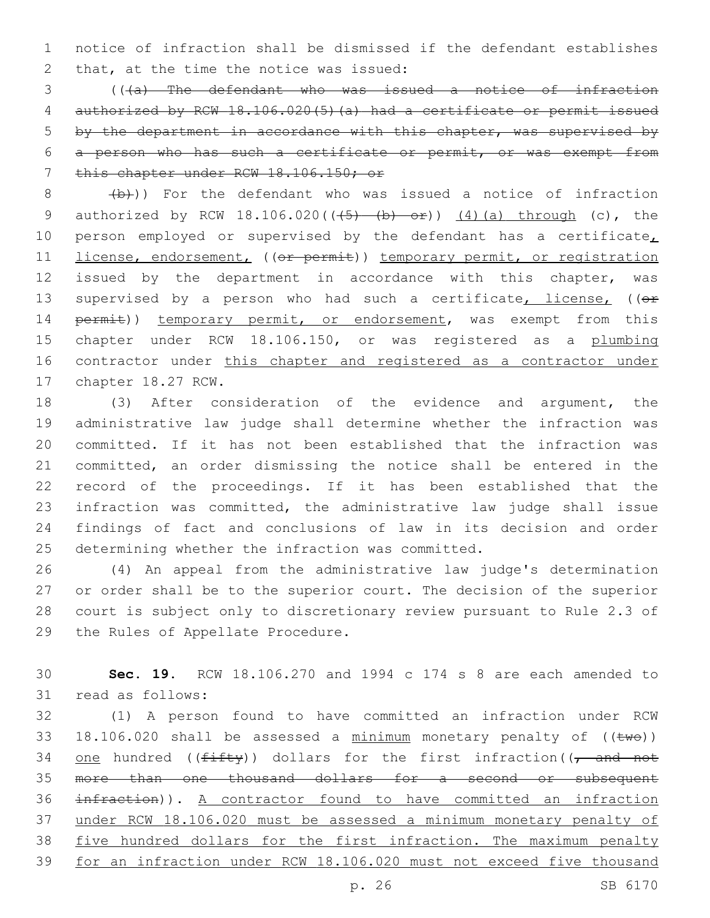1 notice of infraction shall be dismissed if the defendant establishes 2 that, at the time the notice was issued:

 (((a) The defendant who was issued a notice of infraction authorized by RCW 18.106.020(5)(a) had a certificate or permit issued by the department in accordance with this chapter, was supervised by a person who has such a certificate or permit, or was exempt from 7 this chapter under RCW 18.106.150; or

 $8$  (b)) For the defendant who was issued a notice of infraction 9 authorized by RCW  $18.106.020((\frac{5}{6}) - (b) - 0f))$  (4)(a) through (c), the 10 person employed or supervised by the defendant has a certificate, 11 license, endorsement, ((or permit)) temporary permit, or registration 12 issued by the department in accordance with this chapter, was 13 supervised by a person who had such a certificate, license, ((or 14 permit)) temporary permit, or endorsement, was exempt from this 15 chapter under RCW 18.106.150, or was registered as a plumbing 16 contractor under this chapter and registered as a contractor under 17 chapter 18.27 RCW.

 (3) After consideration of the evidence and argument, the administrative law judge shall determine whether the infraction was committed. If it has not been established that the infraction was committed, an order dismissing the notice shall be entered in the record of the proceedings. If it has been established that the infraction was committed, the administrative law judge shall issue findings of fact and conclusions of law in its decision and order 25 determining whether the infraction was committed.

 (4) An appeal from the administrative law judge's determination or order shall be to the superior court. The decision of the superior court is subject only to discretionary review pursuant to Rule 2.3 of 29 the Rules of Appellate Procedure.

30 **Sec. 19.** RCW 18.106.270 and 1994 c 174 s 8 are each amended to 31 read as follows:

 (1) A person found to have committed an infraction under RCW 33 18.106.020 shall be assessed a  $minimum$  monetary penalty of (( $t$ we)) 34 one hundred (( $f$ ifty)) dollars for the first infraction(( $\tau$  and not more than one thousand dollars for a second or subsequent infraction)). A contractor found to have committed an infraction under RCW 18.106.020 must be assessed a minimum monetary penalty of 38 five hundred dollars for the first infraction. The maximum penalty for an infraction under RCW 18.106.020 must not exceed five thousand

p. 26 SB 6170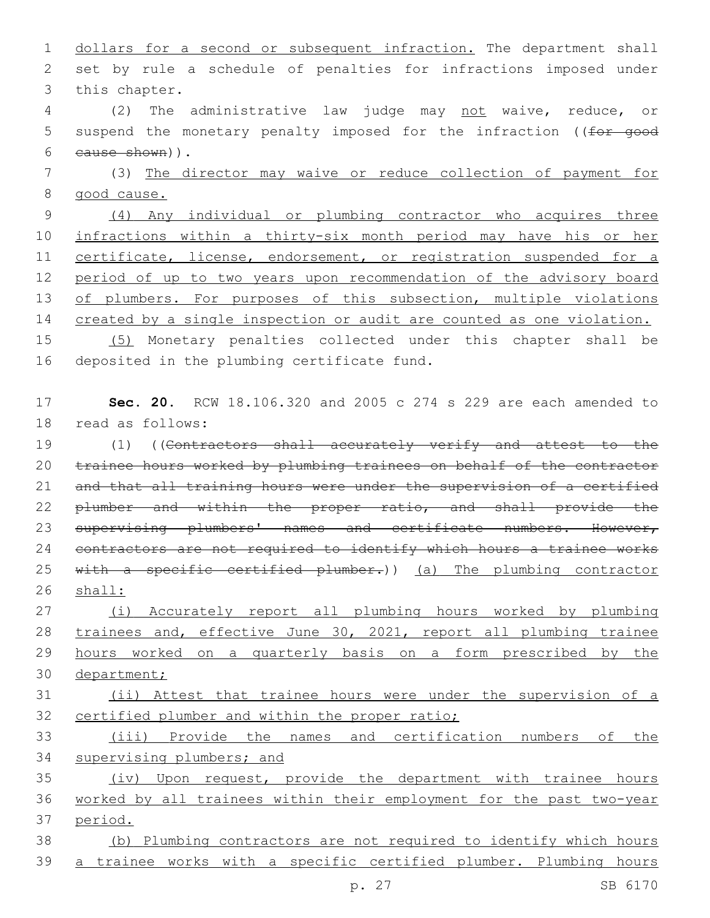1 dollars for a second or subsequent infraction. The department shall 2 set by rule a schedule of penalties for infractions imposed under 3 this chapter.

4 (2) The administrative law judge may not waive, reduce, or 5 suspend the monetary penalty imposed for the infraction ((for good cause shown)).6

7 (3) The director may waive or reduce collection of payment for 8 good cause.

9 (4) Any individual or plumbing contractor who acquires three 10 infractions within a thirty-six month period may have his or her 11 certificate, license, endorsement, or registration suspended for a 12 period of up to two years upon recommendation of the advisory board 13 of plumbers. For purposes of this subsection, multiple violations 14 created by a single inspection or audit are counted as one violation.

15 (5) Monetary penalties collected under this chapter shall be 16 deposited in the plumbing certificate fund.

## 17 **Sec. 20.** RCW 18.106.320 and 2005 c 274 s 229 are each amended to 18 read as follows:

19 (1) ((Contractors shall accurately verify and attest to the 20 trainee hours worked by plumbing trainees on behalf of the contractor 21 and that all training hours were under the supervision of a certified 22 plumber and within the proper ratio, and shall provide the 23 supervising plumbers' names and certificate numbers. However, 24 contractors are not required to identify which hours a trainee works 25 with a specific certified plumber.)) (a) The plumbing contractor 26 shall:

 (i) Accurately report all plumbing hours worked by plumbing trainees and, effective June 30, 2021, report all plumbing trainee hours worked on a quarterly basis on a form prescribed by the department;

## 31 (ii) Attest that trainee hours were under the supervision of a 32 certified plumber and within the proper ratio;

33 (iii) Provide the names and certification numbers of the 34 supervising plumbers; and

35 (iv) Upon request, provide the department with trainee hours 36 worked by all trainees within their employment for the past two-year 37 period.

38 (b) Plumbing contractors are not required to identify which hours 39 a trainee works with a specific certified plumber. Plumbing hours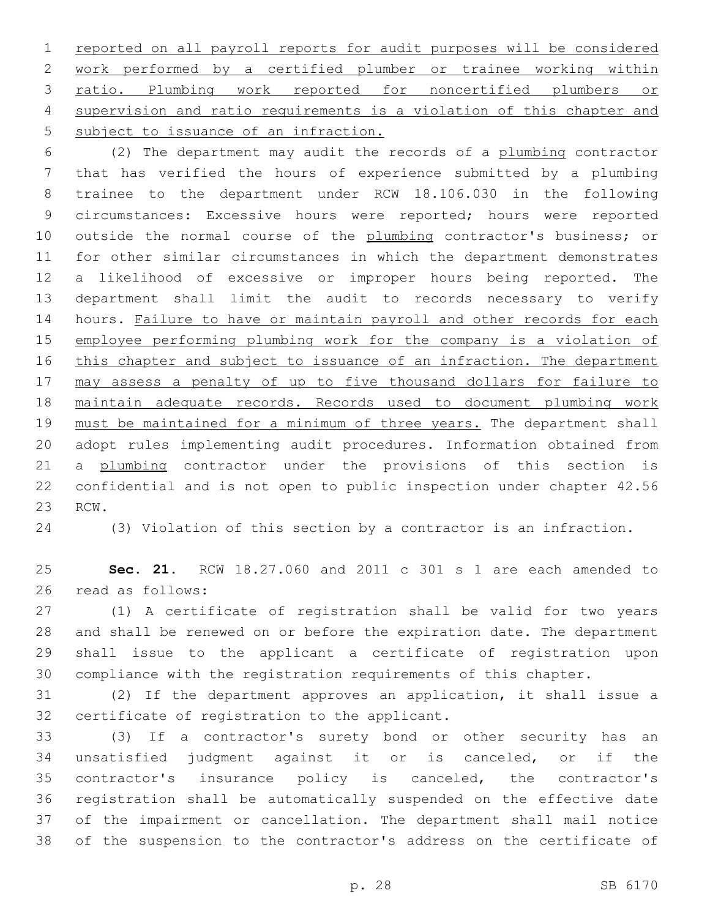reported on all payroll reports for audit purposes will be considered work performed by a certified plumber or trainee working within ratio. Plumbing work reported for noncertified plumbers or supervision and ratio requirements is a violation of this chapter and 5 subject to issuance of an infraction.

 (2) The department may audit the records of a plumbing contractor that has verified the hours of experience submitted by a plumbing trainee to the department under RCW 18.106.030 in the following circumstances: Excessive hours were reported; hours were reported 10 outside the normal course of the plumbing contractor's business; or for other similar circumstances in which the department demonstrates a likelihood of excessive or improper hours being reported. The department shall limit the audit to records necessary to verify 14 hours. Failure to have or maintain payroll and other records for each employee performing plumbing work for the company is a violation of 16 this chapter and subject to issuance of an infraction. The department may assess a penalty of up to five thousand dollars for failure to maintain adequate records. Records used to document plumbing work 19 must be maintained for a minimum of three years. The department shall adopt rules implementing audit procedures. Information obtained from 21 a plumbing contractor under the provisions of this section is confidential and is not open to public inspection under chapter 42.56 23 RCW.

(3) Violation of this section by a contractor is an infraction.

 **Sec. 21.** RCW 18.27.060 and 2011 c 301 s 1 are each amended to 26 read as follows:

 (1) A certificate of registration shall be valid for two years and shall be renewed on or before the expiration date. The department shall issue to the applicant a certificate of registration upon compliance with the registration requirements of this chapter.

 (2) If the department approves an application, it shall issue a 32 certificate of registration to the applicant.

 (3) If a contractor's surety bond or other security has an unsatisfied judgment against it or is canceled, or if the contractor's insurance policy is canceled, the contractor's registration shall be automatically suspended on the effective date of the impairment or cancellation. The department shall mail notice of the suspension to the contractor's address on the certificate of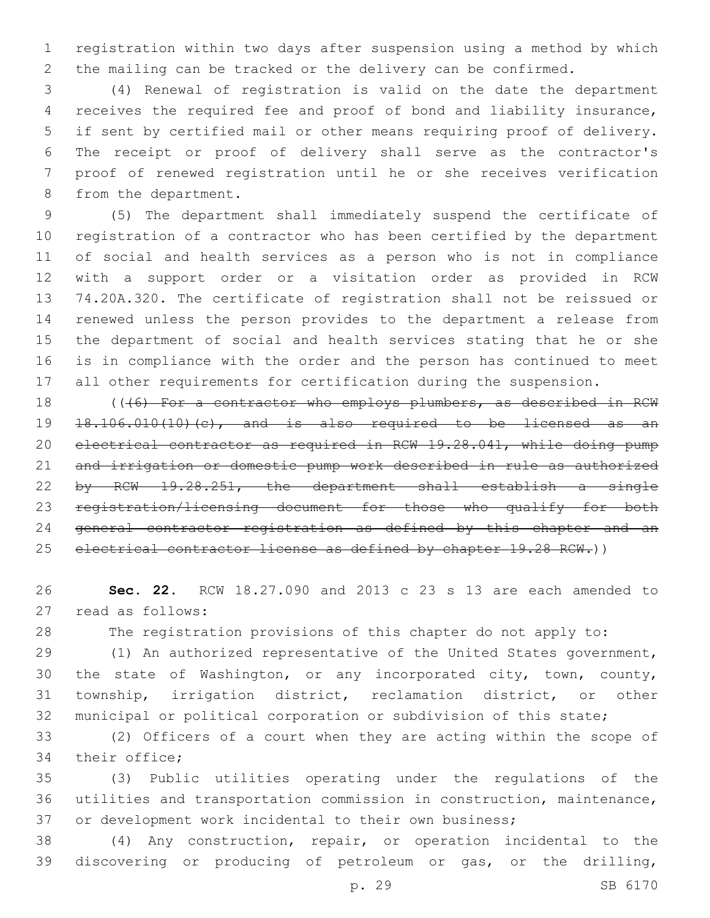registration within two days after suspension using a method by which the mailing can be tracked or the delivery can be confirmed.

 (4) Renewal of registration is valid on the date the department receives the required fee and proof of bond and liability insurance, if sent by certified mail or other means requiring proof of delivery. The receipt or proof of delivery shall serve as the contractor's proof of renewed registration until he or she receives verification 8 from the department.

 (5) The department shall immediately suspend the certificate of registration of a contractor who has been certified by the department of social and health services as a person who is not in compliance with a support order or a visitation order as provided in RCW 74.20A.320. The certificate of registration shall not be reissued or renewed unless the person provides to the department a release from the department of social and health services stating that he or she is in compliance with the order and the person has continued to meet all other requirements for certification during the suspension.

18 (((6) For a contractor who employs plumbers, as described in RCW 18.106.010(10)(c), and is also required to be licensed as an electrical contractor as required in RCW 19.28.041, while doing pump and irrigation or domestic pump work described in rule as authorized by RCW 19.28.251, the department shall establish a single registration/licensing document for those who qualify for both general contractor registration as defined by this chapter and an 25 electrical contractor license as defined by chapter 19.28 RCW.))

 **Sec. 22.** RCW 18.27.090 and 2013 c 23 s 13 are each amended to 27 read as follows:

The registration provisions of this chapter do not apply to:

 (1) An authorized representative of the United States government, the state of Washington, or any incorporated city, town, county, township, irrigation district, reclamation district, or other municipal or political corporation or subdivision of this state;

 (2) Officers of a court when they are acting within the scope of 34 their office;

 (3) Public utilities operating under the regulations of the utilities and transportation commission in construction, maintenance, or development work incidental to their own business;

 (4) Any construction, repair, or operation incidental to the discovering or producing of petroleum or gas, or the drilling,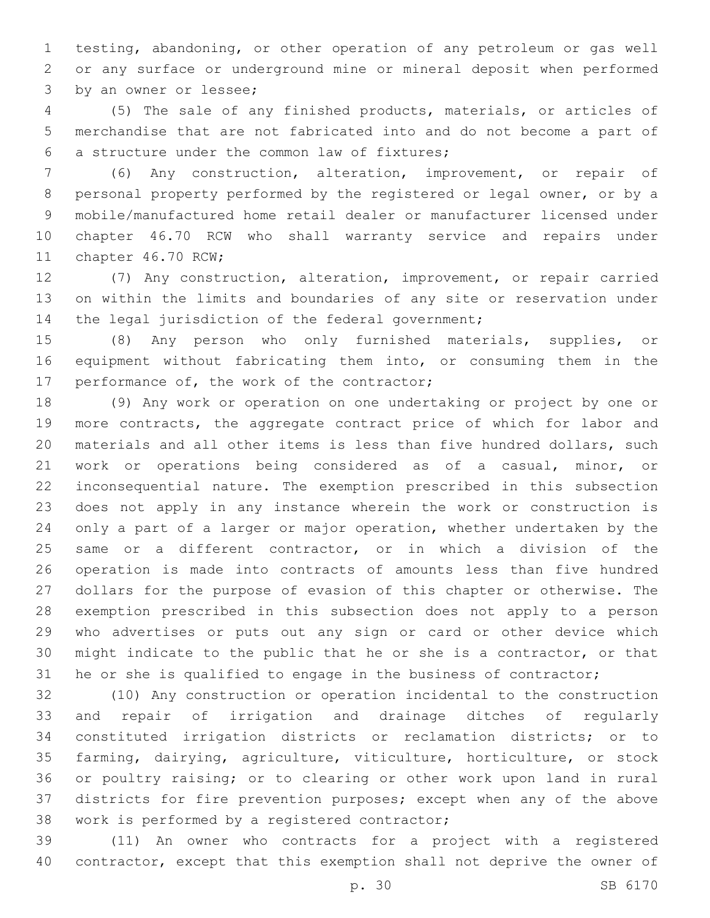testing, abandoning, or other operation of any petroleum or gas well or any surface or underground mine or mineral deposit when performed 3 by an owner or lessee;

 (5) The sale of any finished products, materials, or articles of merchandise that are not fabricated into and do not become a part of a structure under the common law of fixtures;6

 (6) Any construction, alteration, improvement, or repair of personal property performed by the registered or legal owner, or by a mobile/manufactured home retail dealer or manufacturer licensed under chapter 46.70 RCW who shall warranty service and repairs under 11 chapter 46.70 RCW;

 (7) Any construction, alteration, improvement, or repair carried on within the limits and boundaries of any site or reservation under 14 the legal jurisdiction of the federal government;

 (8) Any person who only furnished materials, supplies, or equipment without fabricating them into, or consuming them in the 17 performance of, the work of the contractor;

 (9) Any work or operation on one undertaking or project by one or more contracts, the aggregate contract price of which for labor and materials and all other items is less than five hundred dollars, such work or operations being considered as of a casual, minor, or inconsequential nature. The exemption prescribed in this subsection does not apply in any instance wherein the work or construction is only a part of a larger or major operation, whether undertaken by the same or a different contractor, or in which a division of the operation is made into contracts of amounts less than five hundred dollars for the purpose of evasion of this chapter or otherwise. The exemption prescribed in this subsection does not apply to a person who advertises or puts out any sign or card or other device which might indicate to the public that he or she is a contractor, or that he or she is qualified to engage in the business of contractor;

 (10) Any construction or operation incidental to the construction and repair of irrigation and drainage ditches of regularly constituted irrigation districts or reclamation districts; or to farming, dairying, agriculture, viticulture, horticulture, or stock or poultry raising; or to clearing or other work upon land in rural districts for fire prevention purposes; except when any of the above 38 work is performed by a registered contractor;

 (11) An owner who contracts for a project with a registered contractor, except that this exemption shall not deprive the owner of

p. 30 SB 6170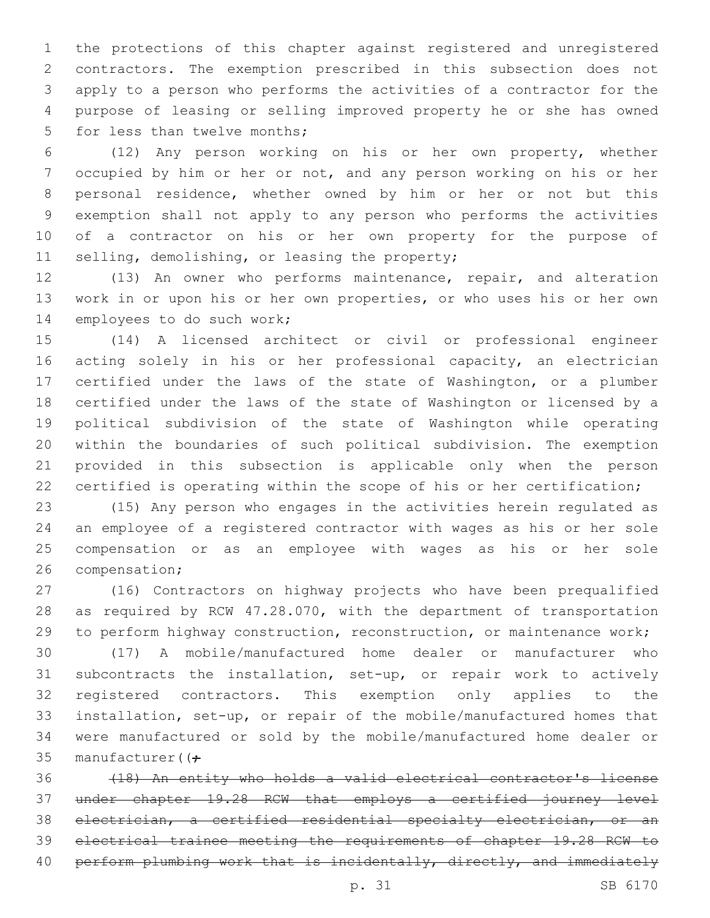the protections of this chapter against registered and unregistered contractors. The exemption prescribed in this subsection does not apply to a person who performs the activities of a contractor for the purpose of leasing or selling improved property he or she has owned 5 for less than twelve months;

 (12) Any person working on his or her own property, whether occupied by him or her or not, and any person working on his or her personal residence, whether owned by him or her or not but this exemption shall not apply to any person who performs the activities of a contractor on his or her own property for the purpose of 11 selling, demolishing, or leasing the property;

 (13) An owner who performs maintenance, repair, and alteration work in or upon his or her own properties, or who uses his or her own 14 employees to do such work;

 (14) A licensed architect or civil or professional engineer acting solely in his or her professional capacity, an electrician certified under the laws of the state of Washington, or a plumber certified under the laws of the state of Washington or licensed by a political subdivision of the state of Washington while operating within the boundaries of such political subdivision. The exemption provided in this subsection is applicable only when the person certified is operating within the scope of his or her certification;

 (15) Any person who engages in the activities herein regulated as an employee of a registered contractor with wages as his or her sole compensation or as an employee with wages as his or her sole 26 compensation;

 (16) Contractors on highway projects who have been prequalified as required by RCW 47.28.070, with the department of transportation to perform highway construction, reconstruction, or maintenance work;

 (17) A mobile/manufactured home dealer or manufacturer who subcontracts the installation, set-up, or repair work to actively registered contractors. This exemption only applies to the installation, set-up, or repair of the mobile/manufactured homes that were manufactured or sold by the mobile/manufactured home dealer or 35 manufacturer( $(f -$ 

 (18) An entity who holds a valid electrical contractor's license under chapter 19.28 RCW that employs a certified journey level electrician, a certified residential specialty electrician, or an electrical trainee meeting the requirements of chapter 19.28 RCW to 40 perform plumbing work that is incidentally, directly, and immediately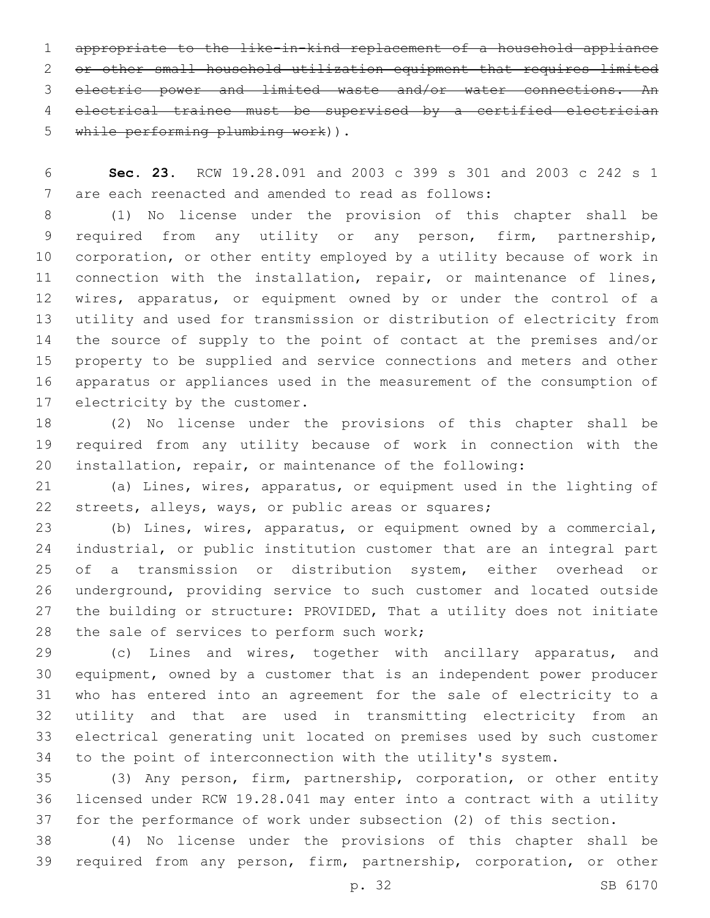appropriate to the like-in-kind replacement of a household appliance or other small household utilization equipment that requires limited electric power and limited waste and/or water connections. An electrical trainee must be supervised by a certified electrician 5 while performing plumbing work)).

 **Sec. 23.** RCW 19.28.091 and 2003 c 399 s 301 and 2003 c 242 s 1 7 are each reenacted and amended to read as follows:

 (1) No license under the provision of this chapter shall be required from any utility or any person, firm, partnership, corporation, or other entity employed by a utility because of work in connection with the installation, repair, or maintenance of lines, wires, apparatus, or equipment owned by or under the control of a utility and used for transmission or distribution of electricity from the source of supply to the point of contact at the premises and/or property to be supplied and service connections and meters and other apparatus or appliances used in the measurement of the consumption of 17 electricity by the customer.

 (2) No license under the provisions of this chapter shall be required from any utility because of work in connection with the installation, repair, or maintenance of the following:

 (a) Lines, wires, apparatus, or equipment used in the lighting of streets, alleys, ways, or public areas or squares;

 (b) Lines, wires, apparatus, or equipment owned by a commercial, industrial, or public institution customer that are an integral part of a transmission or distribution system, either overhead or underground, providing service to such customer and located outside the building or structure: PROVIDED, That a utility does not initiate 28 the sale of services to perform such work;

 (c) Lines and wires, together with ancillary apparatus, and equipment, owned by a customer that is an independent power producer who has entered into an agreement for the sale of electricity to a utility and that are used in transmitting electricity from an electrical generating unit located on premises used by such customer to the point of interconnection with the utility's system.

 (3) Any person, firm, partnership, corporation, or other entity licensed under RCW 19.28.041 may enter into a contract with a utility for the performance of work under subsection (2) of this section.

 (4) No license under the provisions of this chapter shall be required from any person, firm, partnership, corporation, or other

p. 32 SB 6170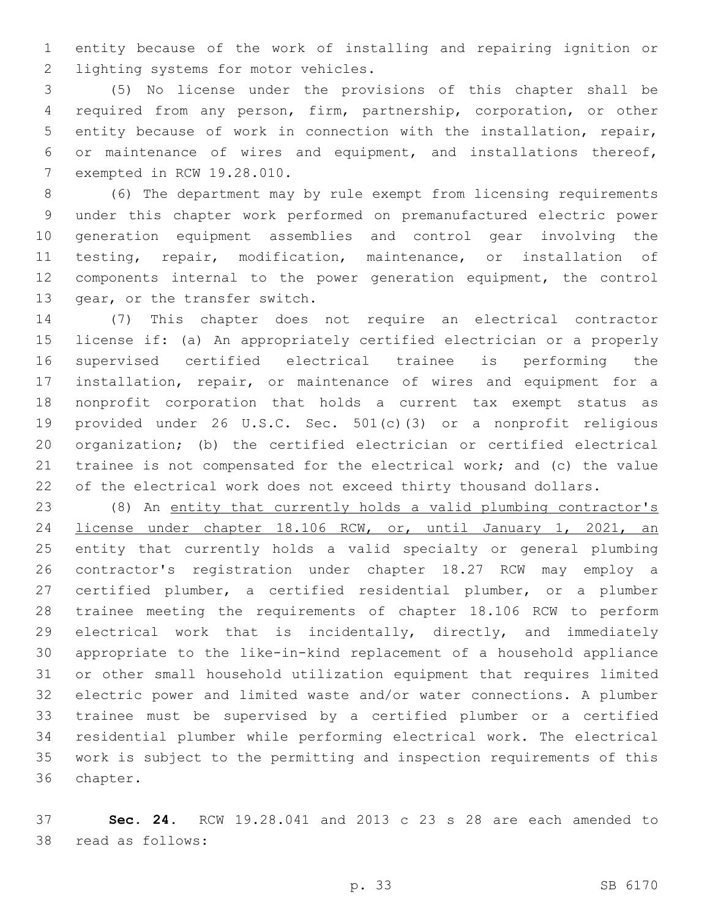entity because of the work of installing and repairing ignition or 2 lighting systems for motor vehicles.

 (5) No license under the provisions of this chapter shall be required from any person, firm, partnership, corporation, or other entity because of work in connection with the installation, repair, or maintenance of wires and equipment, and installations thereof, 7 exempted in RCW 19.28.010.

 (6) The department may by rule exempt from licensing requirements under this chapter work performed on premanufactured electric power generation equipment assemblies and control gear involving the testing, repair, modification, maintenance, or installation of components internal to the power generation equipment, the control 13 gear, or the transfer switch.

 (7) This chapter does not require an electrical contractor license if: (a) An appropriately certified electrician or a properly supervised certified electrical trainee is performing the installation, repair, or maintenance of wires and equipment for a nonprofit corporation that holds a current tax exempt status as provided under 26 U.S.C. Sec. 501(c)(3) or a nonprofit religious organization; (b) the certified electrician or certified electrical trainee is not compensated for the electrical work; and (c) the value 22 of the electrical work does not exceed thirty thousand dollars.

 (8) An entity that currently holds a valid plumbing contractor's license under chapter 18.106 RCW, or, until January 1, 2021, an entity that currently holds a valid specialty or general plumbing contractor's registration under chapter 18.27 RCW may employ a certified plumber, a certified residential plumber, or a plumber trainee meeting the requirements of chapter 18.106 RCW to perform 29 electrical work that is incidentally, directly, and immediately appropriate to the like-in-kind replacement of a household appliance or other small household utilization equipment that requires limited electric power and limited waste and/or water connections. A plumber trainee must be supervised by a certified plumber or a certified residential plumber while performing electrical work. The electrical work is subject to the permitting and inspection requirements of this 36 chapter.

 **Sec. 24.** RCW 19.28.041 and 2013 c 23 s 28 are each amended to 38 read as follows: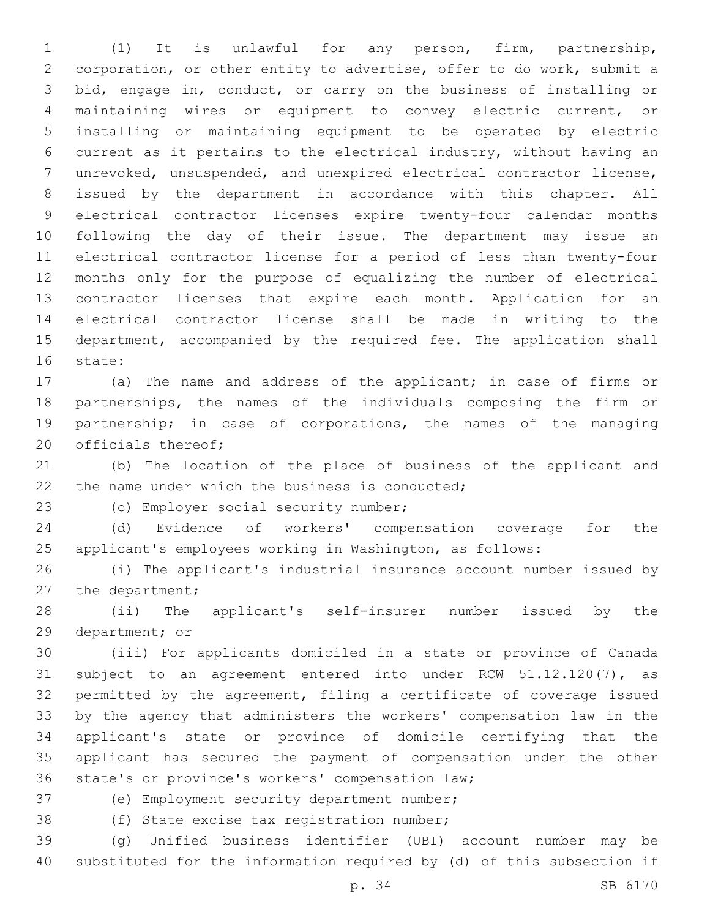(1) It is unlawful for any person, firm, partnership, corporation, or other entity to advertise, offer to do work, submit a bid, engage in, conduct, or carry on the business of installing or maintaining wires or equipment to convey electric current, or installing or maintaining equipment to be operated by electric current as it pertains to the electrical industry, without having an unrevoked, unsuspended, and unexpired electrical contractor license, issued by the department in accordance with this chapter. All electrical contractor licenses expire twenty-four calendar months following the day of their issue. The department may issue an electrical contractor license for a period of less than twenty-four months only for the purpose of equalizing the number of electrical contractor licenses that expire each month. Application for an electrical contractor license shall be made in writing to the 15 department, accompanied by the required fee. The application shall 16 state:

 (a) The name and address of the applicant; in case of firms or partnerships, the names of the individuals composing the firm or partnership; in case of corporations, the names of the managing 20 officials thereof;

 (b) The location of the place of business of the applicant and 22 the name under which the business is conducted;

23 (c) Employer social security number;

 (d) Evidence of workers' compensation coverage for the applicant's employees working in Washington, as follows:

 (i) The applicant's industrial insurance account number issued by 27 the department;

 (ii) The applicant's self-insurer number issued by the 29 department; or

 (iii) For applicants domiciled in a state or province of Canada subject to an agreement entered into under RCW 51.12.120(7), as permitted by the agreement, filing a certificate of coverage issued by the agency that administers the workers' compensation law in the applicant's state or province of domicile certifying that the applicant has secured the payment of compensation under the other 36 state's or province's workers' compensation law;

37 (e) Employment security department number;

38 (f) State excise tax registration number;

 (g) Unified business identifier (UBI) account number may be substituted for the information required by (d) of this subsection if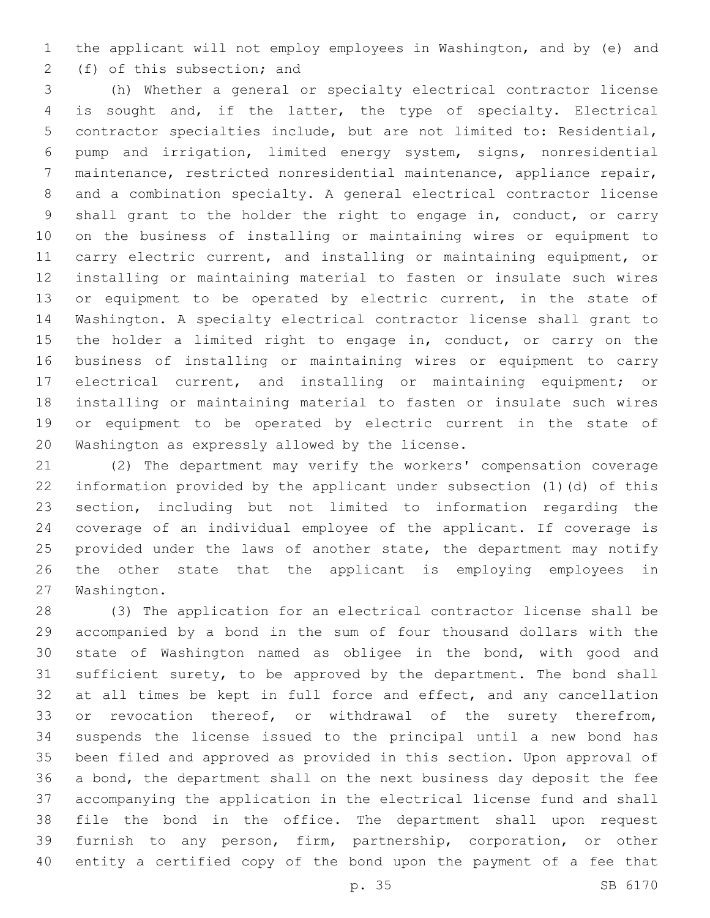the applicant will not employ employees in Washington, and by (e) and 2 (f) of this subsection; and

 (h) Whether a general or specialty electrical contractor license is sought and, if the latter, the type of specialty. Electrical contractor specialties include, but are not limited to: Residential, pump and irrigation, limited energy system, signs, nonresidential maintenance, restricted nonresidential maintenance, appliance repair, and a combination specialty. A general electrical contractor license shall grant to the holder the right to engage in, conduct, or carry on the business of installing or maintaining wires or equipment to carry electric current, and installing or maintaining equipment, or installing or maintaining material to fasten or insulate such wires 13 or equipment to be operated by electric current, in the state of Washington. A specialty electrical contractor license shall grant to the holder a limited right to engage in, conduct, or carry on the business of installing or maintaining wires or equipment to carry electrical current, and installing or maintaining equipment; or installing or maintaining material to fasten or insulate such wires or equipment to be operated by electric current in the state of 20 Washington as expressly allowed by the license.

 (2) The department may verify the workers' compensation coverage information provided by the applicant under subsection (1)(d) of this section, including but not limited to information regarding the coverage of an individual employee of the applicant. If coverage is 25 provided under the laws of another state, the department may notify the other state that the applicant is employing employees in 27 Washington.

 (3) The application for an electrical contractor license shall be accompanied by a bond in the sum of four thousand dollars with the state of Washington named as obligee in the bond, with good and sufficient surety, to be approved by the department. The bond shall 32 at all times be kept in full force and effect, and any cancellation 33 or revocation thereof, or withdrawal of the surety therefrom, suspends the license issued to the principal until a new bond has been filed and approved as provided in this section. Upon approval of a bond, the department shall on the next business day deposit the fee accompanying the application in the electrical license fund and shall file the bond in the office. The department shall upon request furnish to any person, firm, partnership, corporation, or other entity a certified copy of the bond upon the payment of a fee that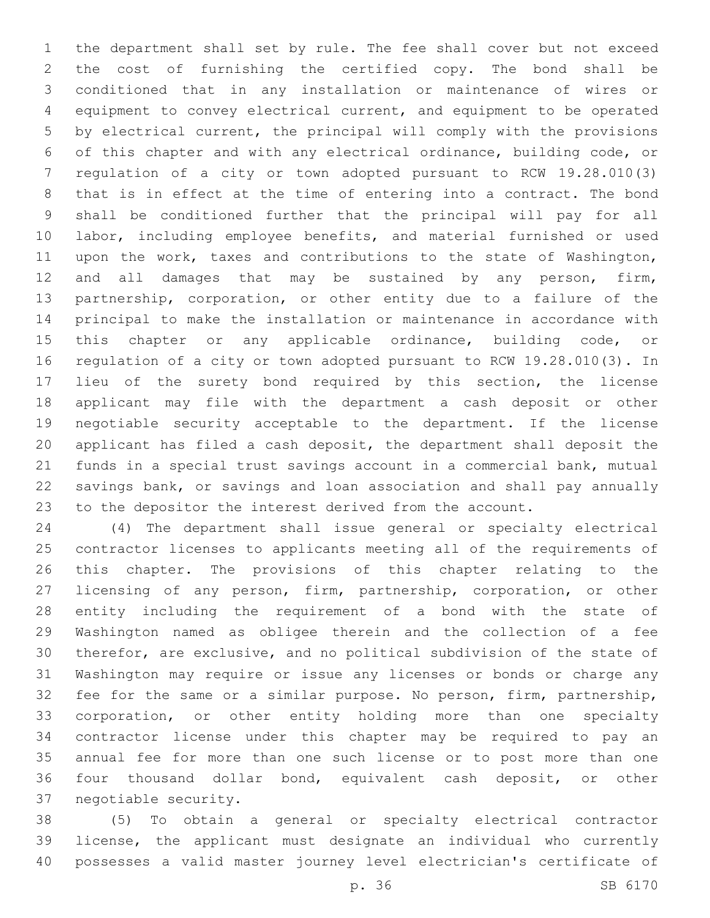the department shall set by rule. The fee shall cover but not exceed the cost of furnishing the certified copy. The bond shall be conditioned that in any installation or maintenance of wires or equipment to convey electrical current, and equipment to be operated by electrical current, the principal will comply with the provisions of this chapter and with any electrical ordinance, building code, or regulation of a city or town adopted pursuant to RCW 19.28.010(3) that is in effect at the time of entering into a contract. The bond shall be conditioned further that the principal will pay for all labor, including employee benefits, and material furnished or used upon the work, taxes and contributions to the state of Washington, 12 and all damages that may be sustained by any person, firm, partnership, corporation, or other entity due to a failure of the principal to make the installation or maintenance in accordance with 15 this chapter or any applicable ordinance, building code, or regulation of a city or town adopted pursuant to RCW 19.28.010(3). In lieu of the surety bond required by this section, the license applicant may file with the department a cash deposit or other negotiable security acceptable to the department. If the license applicant has filed a cash deposit, the department shall deposit the funds in a special trust savings account in a commercial bank, mutual savings bank, or savings and loan association and shall pay annually to the depositor the interest derived from the account.

 (4) The department shall issue general or specialty electrical contractor licenses to applicants meeting all of the requirements of this chapter. The provisions of this chapter relating to the licensing of any person, firm, partnership, corporation, or other entity including the requirement of a bond with the state of Washington named as obligee therein and the collection of a fee therefor, are exclusive, and no political subdivision of the state of Washington may require or issue any licenses or bonds or charge any fee for the same or a similar purpose. No person, firm, partnership, corporation, or other entity holding more than one specialty contractor license under this chapter may be required to pay an annual fee for more than one such license or to post more than one four thousand dollar bond, equivalent cash deposit, or other 37 negotiable security.

 (5) To obtain a general or specialty electrical contractor license, the applicant must designate an individual who currently possesses a valid master journey level electrician's certificate of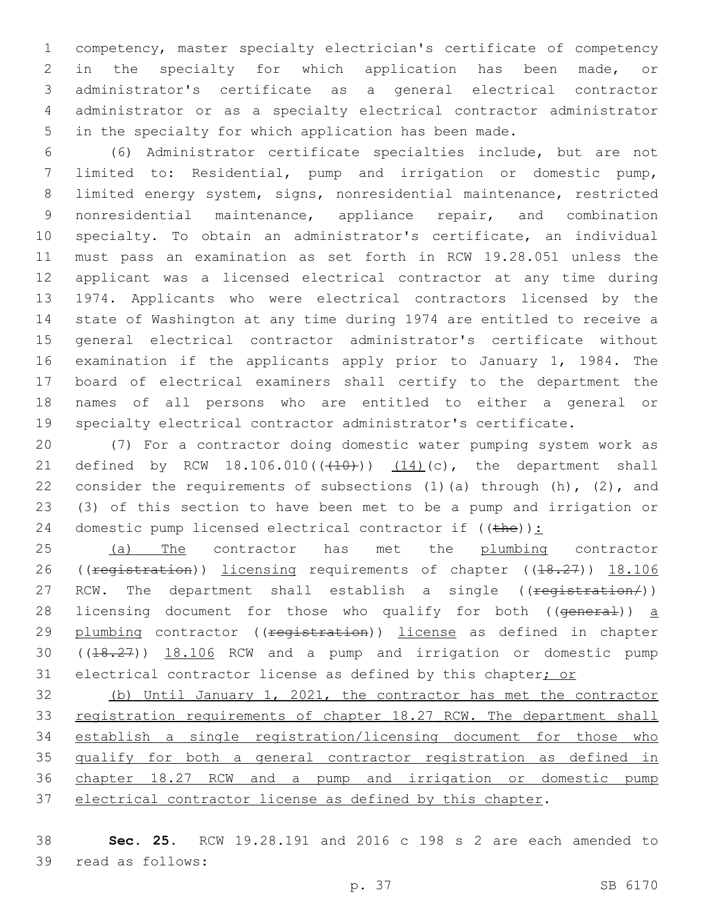competency, master specialty electrician's certificate of competency in the specialty for which application has been made, or administrator's certificate as a general electrical contractor administrator or as a specialty electrical contractor administrator in the specialty for which application has been made.

 (6) Administrator certificate specialties include, but are not limited to: Residential, pump and irrigation or domestic pump, limited energy system, signs, nonresidential maintenance, restricted nonresidential maintenance, appliance repair, and combination specialty. To obtain an administrator's certificate, an individual must pass an examination as set forth in RCW 19.28.051 unless the applicant was a licensed electrical contractor at any time during 1974. Applicants who were electrical contractors licensed by the state of Washington at any time during 1974 are entitled to receive a general electrical contractor administrator's certificate without examination if the applicants apply prior to January 1, 1984. The board of electrical examiners shall certify to the department the names of all persons who are entitled to either a general or specialty electrical contractor administrator's certificate.

 (7) For a contractor doing domestic water pumping system work as 21 defined by RCW  $18.106.010((410))$   $(14)(c)$ , the department shall 22 consider the requirements of subsections  $(1)$  (a) through  $(h)$ ,  $(2)$ , and (3) of this section to have been met to be a pump and irrigation or 24 domestic pump licensed electrical contractor if  $((the))$ :

25 (a) The contractor has met the plumbing contractor 26 ((registration)) licensing requirements of chapter ((18.27)) 18.106 27 RCW. The department shall establish a single ((registration/)) 28 licensing document for those who qualify for both ((general)) a 29 plumbing contractor ((<del>registration</del>)) license as defined in chapter ((18.27)) 18.106 RCW and a pump and irrigation or domestic pump 31 electrical contractor license as defined by this chapter; or

 (b) Until January 1, 2021, the contractor has met the contractor 33 registration requirements of chapter 18.27 RCW. The department shall establish a single registration/licensing document for those who 35 qualify for both a general contractor registration as defined in chapter 18.27 RCW and a pump and irrigation or domestic pump electrical contractor license as defined by this chapter.

 **Sec. 25.** RCW 19.28.191 and 2016 c 198 s 2 are each amended to 39 read as follows: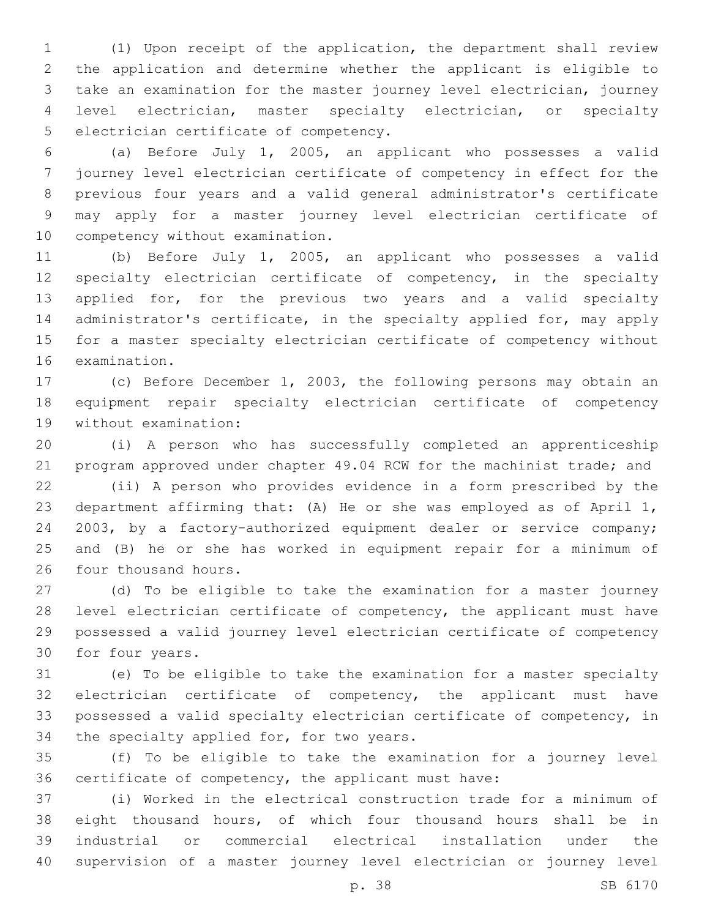(1) Upon receipt of the application, the department shall review the application and determine whether the applicant is eligible to take an examination for the master journey level electrician, journey level electrician, master specialty electrician, or specialty 5 electrician certificate of competency.

 (a) Before July 1, 2005, an applicant who possesses a valid journey level electrician certificate of competency in effect for the previous four years and a valid general administrator's certificate may apply for a master journey level electrician certificate of 10 competency without examination.

 (b) Before July 1, 2005, an applicant who possesses a valid 12 specialty electrician certificate of competency, in the specialty applied for, for the previous two years and a valid specialty 14 administrator's certificate, in the specialty applied for, may apply for a master specialty electrician certificate of competency without 16 examination.

 (c) Before December 1, 2003, the following persons may obtain an equipment repair specialty electrician certificate of competency 19 without examination:

 (i) A person who has successfully completed an apprenticeship program approved under chapter 49.04 RCW for the machinist trade; and

 (ii) A person who provides evidence in a form prescribed by the department affirming that: (A) He or she was employed as of April 1, 2003, by a factory-authorized equipment dealer or service company; and (B) he or she has worked in equipment repair for a minimum of 26 four thousand hours.

 (d) To be eligible to take the examination for a master journey level electrician certificate of competency, the applicant must have possessed a valid journey level electrician certificate of competency 30 for four years.

 (e) To be eligible to take the examination for a master specialty electrician certificate of competency, the applicant must have possessed a valid specialty electrician certificate of competency, in 34 the specialty applied for, for two years.

 (f) To be eligible to take the examination for a journey level certificate of competency, the applicant must have:

 (i) Worked in the electrical construction trade for a minimum of eight thousand hours, of which four thousand hours shall be in industrial or commercial electrical installation under the supervision of a master journey level electrician or journey level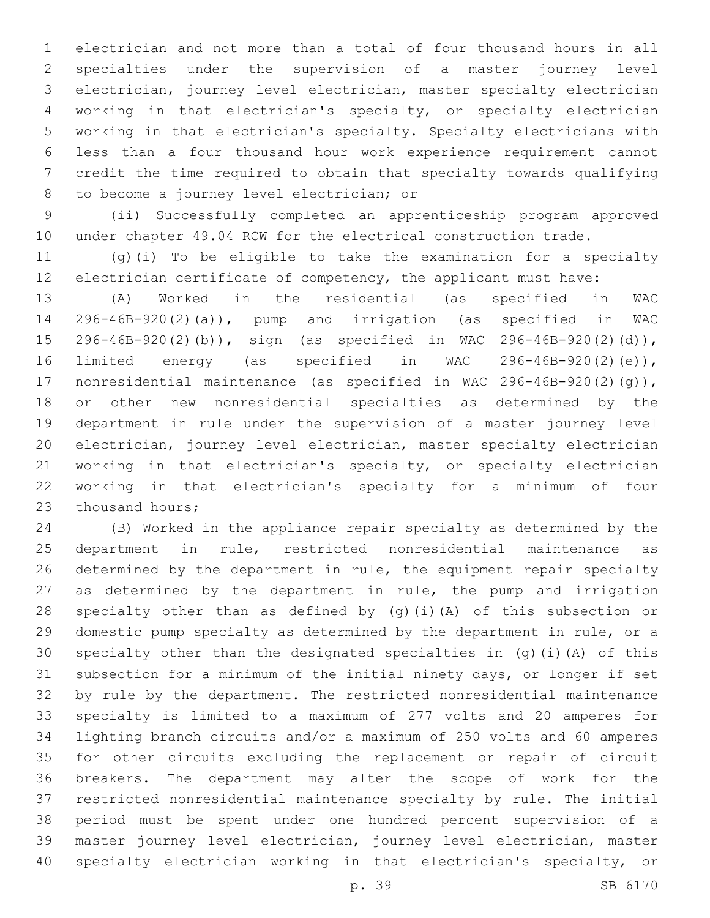electrician and not more than a total of four thousand hours in all specialties under the supervision of a master journey level electrician, journey level electrician, master specialty electrician working in that electrician's specialty, or specialty electrician working in that electrician's specialty. Specialty electricians with less than a four thousand hour work experience requirement cannot credit the time required to obtain that specialty towards qualifying 8 to become a journey level electrician; or

 (ii) Successfully completed an apprenticeship program approved under chapter 49.04 RCW for the electrical construction trade.

 (g)(i) To be eligible to take the examination for a specialty electrician certificate of competency, the applicant must have:

 (A) Worked in the residential (as specified in WAC 296-46B-920(2)(a)), pump and irrigation (as specified in WAC 296-46B-920(2)(b)), sign (as specified in WAC 296-46B-920(2)(d)), limited energy (as specified in WAC 296-46B-920(2)(e)), nonresidential maintenance (as specified in WAC 296-46B-920(2)(g)), or other new nonresidential specialties as determined by the department in rule under the supervision of a master journey level electrician, journey level electrician, master specialty electrician working in that electrician's specialty, or specialty electrician working in that electrician's specialty for a minimum of four 23 thousand hours;

 (B) Worked in the appliance repair specialty as determined by the department in rule, restricted nonresidential maintenance as determined by the department in rule, the equipment repair specialty as determined by the department in rule, the pump and irrigation specialty other than as defined by (g)(i)(A) of this subsection or domestic pump specialty as determined by the department in rule, or a specialty other than the designated specialties in (g)(i)(A) of this subsection for a minimum of the initial ninety days, or longer if set by rule by the department. The restricted nonresidential maintenance specialty is limited to a maximum of 277 volts and 20 amperes for lighting branch circuits and/or a maximum of 250 volts and 60 amperes for other circuits excluding the replacement or repair of circuit breakers. The department may alter the scope of work for the restricted nonresidential maintenance specialty by rule. The initial period must be spent under one hundred percent supervision of a master journey level electrician, journey level electrician, master specialty electrician working in that electrician's specialty, or

p. 39 SB 6170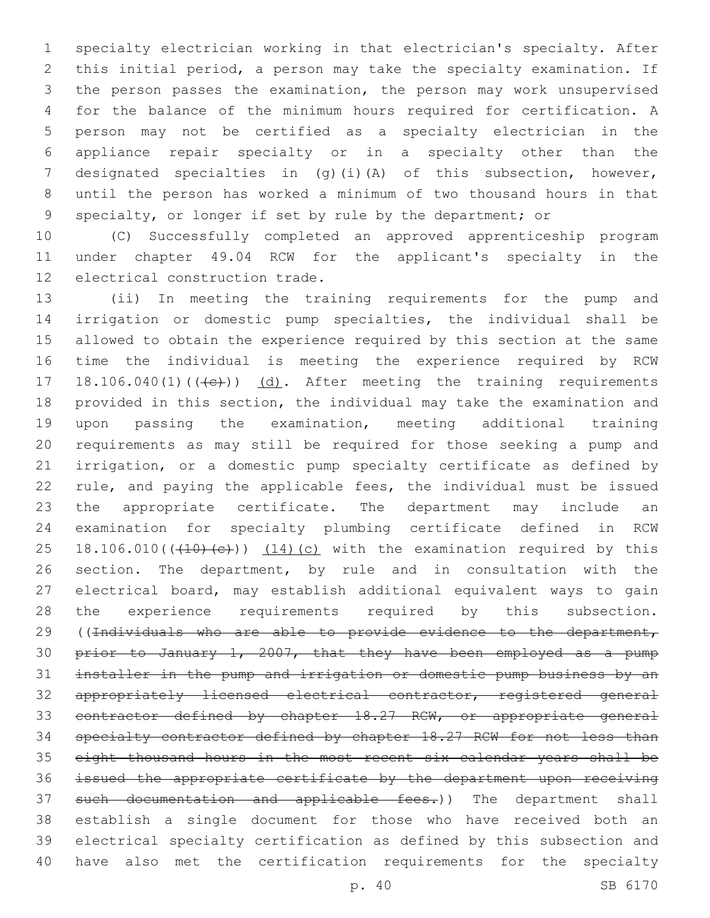specialty electrician working in that electrician's specialty. After this initial period, a person may take the specialty examination. If the person passes the examination, the person may work unsupervised for the balance of the minimum hours required for certification. A person may not be certified as a specialty electrician in the appliance repair specialty or in a specialty other than the designated specialties in (g)(i)(A) of this subsection, however, until the person has worked a minimum of two thousand hours in that specialty, or longer if set by rule by the department; or

 (C) Successfully completed an approved apprenticeship program under chapter 49.04 RCW for the applicant's specialty in the 12 electrical construction trade.

 (ii) In meeting the training requirements for the pump and irrigation or domestic pump specialties, the individual shall be allowed to obtain the experience required by this section at the same time the individual is meeting the experience required by RCW 17 18.106.040(1)(((e))) (d). After meeting the training requirements provided in this section, the individual may take the examination and upon passing the examination, meeting additional training requirements as may still be required for those seeking a pump and irrigation, or a domestic pump specialty certificate as defined by rule, and paying the applicable fees, the individual must be issued the appropriate certificate. The department may include an examination for specialty plumbing certificate defined in RCW 25 18.106.010( $(410)(e)$ ))  $(14)(c)$  with the examination required by this section. The department, by rule and in consultation with the electrical board, may establish additional equivalent ways to gain the experience requirements required by this subsection. 29 ((Individuals who are able to provide evidence to the department, prior to January 1, 2007, that they have been employed as a pump installer in the pump and irrigation or domestic pump business by an appropriately licensed electrical contractor, registered general 33 contractor defined by chapter 18.27 RCW, or appropriate general specialty contractor defined by chapter 18.27 RCW for not less than eight thousand hours in the most recent six calendar years shall be issued the appropriate certificate by the department upon receiving 37 such documentation and applicable fees.)) The department shall establish a single document for those who have received both an electrical specialty certification as defined by this subsection and have also met the certification requirements for the specialty

p. 40 SB 6170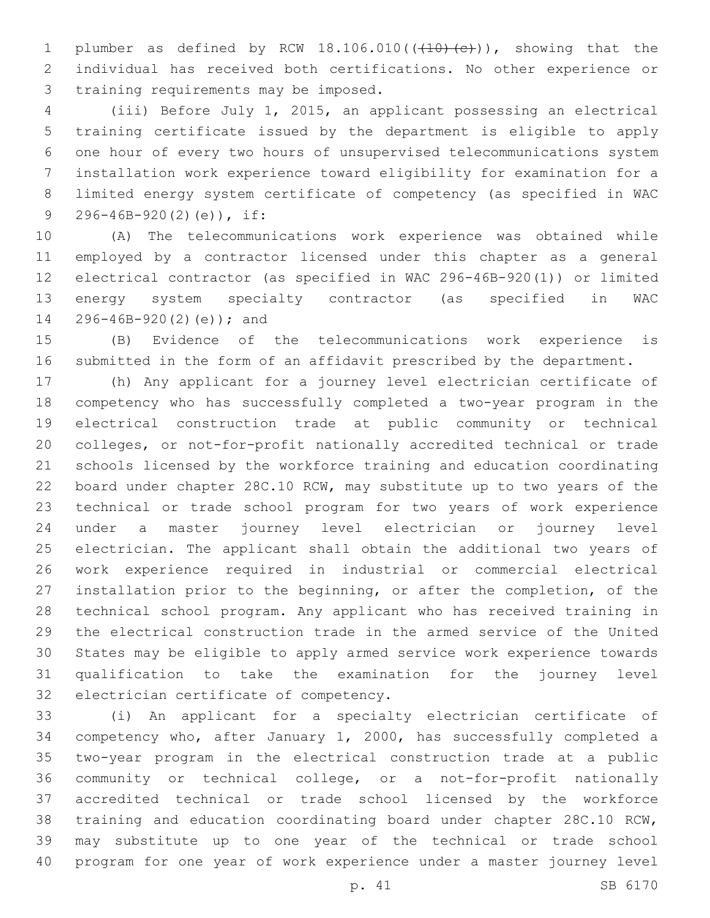1 plumber as defined by RCW  $18.106.010$  ( $(410)$   $(e)$ )), showing that the individual has received both certifications. No other experience or 3 training requirements may be imposed.

 (iii) Before July 1, 2015, an applicant possessing an electrical training certificate issued by the department is eligible to apply one hour of every two hours of unsupervised telecommunications system installation work experience toward eligibility for examination for a limited energy system certificate of competency (as specified in WAC 9 296-46B-920(2)(e)), if:

 (A) The telecommunications work experience was obtained while employed by a contractor licensed under this chapter as a general electrical contractor (as specified in WAC 296-46B-920(1)) or limited energy system specialty contractor (as specified in WAC 14 296-46B-920(2)(e)); and

 (B) Evidence of the telecommunications work experience is submitted in the form of an affidavit prescribed by the department.

 (h) Any applicant for a journey level electrician certificate of competency who has successfully completed a two-year program in the electrical construction trade at public community or technical colleges, or not-for-profit nationally accredited technical or trade schools licensed by the workforce training and education coordinating board under chapter 28C.10 RCW, may substitute up to two years of the technical or trade school program for two years of work experience under a master journey level electrician or journey level electrician. The applicant shall obtain the additional two years of work experience required in industrial or commercial electrical installation prior to the beginning, or after the completion, of the technical school program. Any applicant who has received training in the electrical construction trade in the armed service of the United States may be eligible to apply armed service work experience towards qualification to take the examination for the journey level 32 electrician certificate of competency.

 (i) An applicant for a specialty electrician certificate of competency who, after January 1, 2000, has successfully completed a two-year program in the electrical construction trade at a public community or technical college, or a not-for-profit nationally accredited technical or trade school licensed by the workforce training and education coordinating board under chapter 28C.10 RCW, may substitute up to one year of the technical or trade school program for one year of work experience under a master journey level

p. 41 SB 6170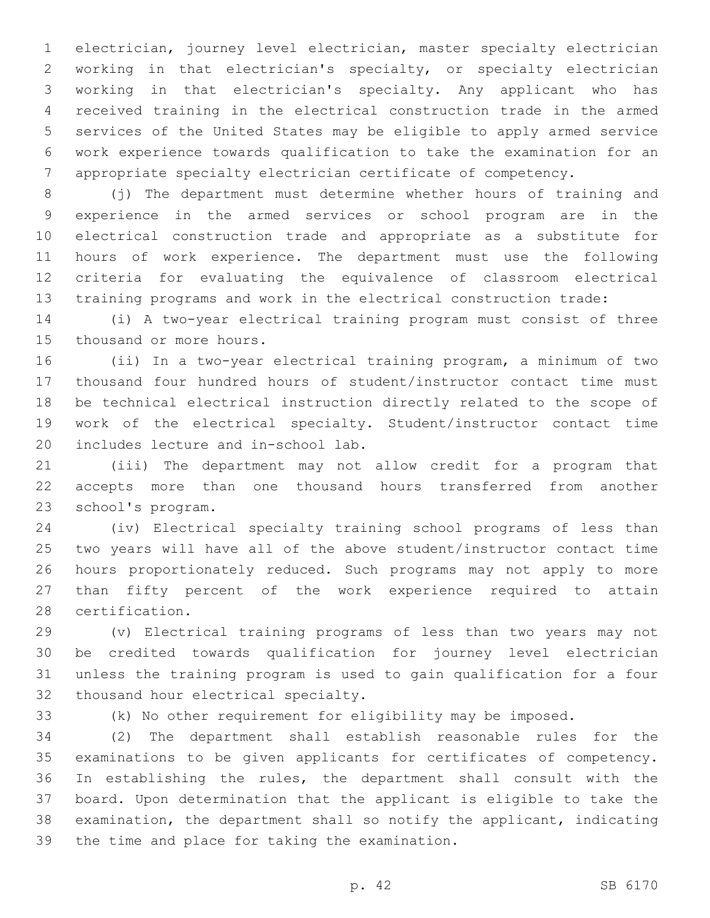electrician, journey level electrician, master specialty electrician working in that electrician's specialty, or specialty electrician working in that electrician's specialty. Any applicant who has received training in the electrical construction trade in the armed services of the United States may be eligible to apply armed service work experience towards qualification to take the examination for an appropriate specialty electrician certificate of competency.

8 (j) The department must determine whether hours of training and experience in the armed services or school program are in the electrical construction trade and appropriate as a substitute for hours of work experience. The department must use the following criteria for evaluating the equivalence of classroom electrical training programs and work in the electrical construction trade:

 (i) A two-year electrical training program must consist of three 15 thousand or more hours.

 (ii) In a two-year electrical training program, a minimum of two thousand four hundred hours of student/instructor contact time must be technical electrical instruction directly related to the scope of work of the electrical specialty. Student/instructor contact time 20 includes lecture and in-school lab.

 (iii) The department may not allow credit for a program that accepts more than one thousand hours transferred from another 23 school's program.

 (iv) Electrical specialty training school programs of less than two years will have all of the above student/instructor contact time hours proportionately reduced. Such programs may not apply to more than fifty percent of the work experience required to attain 28 certification.

 (v) Electrical training programs of less than two years may not be credited towards qualification for journey level electrician unless the training program is used to gain qualification for a four 32 thousand hour electrical specialty.

(k) No other requirement for eligibility may be imposed.

 (2) The department shall establish reasonable rules for the examinations to be given applicants for certificates of competency. In establishing the rules, the department shall consult with the board. Upon determination that the applicant is eligible to take the examination, the department shall so notify the applicant, indicating 39 the time and place for taking the examination.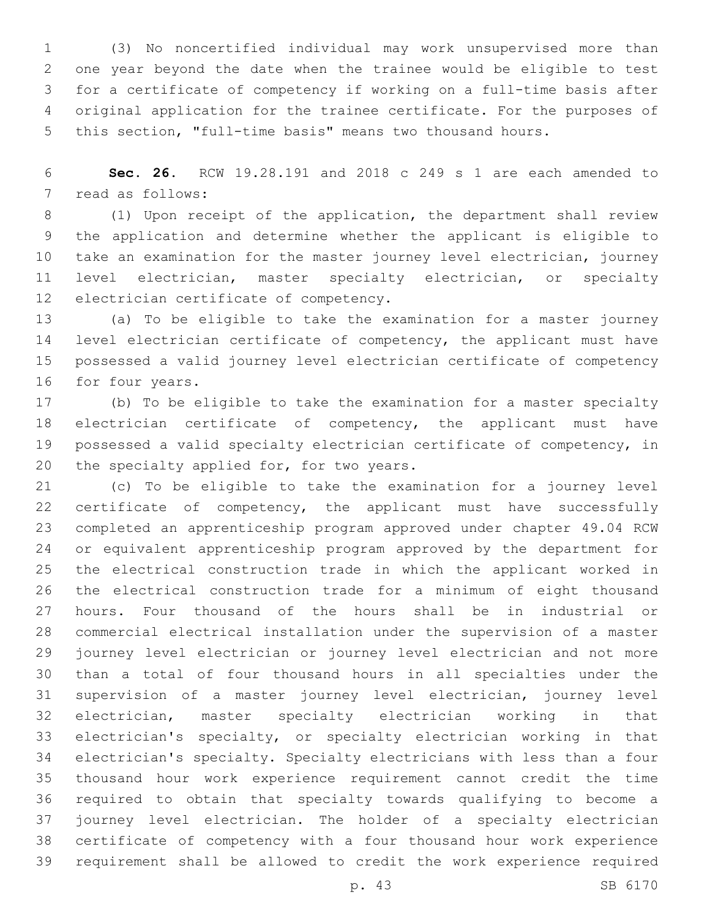(3) No noncertified individual may work unsupervised more than one year beyond the date when the trainee would be eligible to test for a certificate of competency if working on a full-time basis after original application for the trainee certificate. For the purposes of this section, "full-time basis" means two thousand hours.

 **Sec. 26.** RCW 19.28.191 and 2018 c 249 s 1 are each amended to 7 read as follows:

 (1) Upon receipt of the application, the department shall review the application and determine whether the applicant is eligible to take an examination for the master journey level electrician, journey level electrician, master specialty electrician, or specialty 12 electrician certificate of competency.

 (a) To be eligible to take the examination for a master journey 14 level electrician certificate of competency, the applicant must have possessed a valid journey level electrician certificate of competency 16 for four years.

 (b) To be eligible to take the examination for a master specialty electrician certificate of competency, the applicant must have possessed a valid specialty electrician certificate of competency, in 20 the specialty applied for, for two years.

 (c) To be eligible to take the examination for a journey level certificate of competency, the applicant must have successfully completed an apprenticeship program approved under chapter 49.04 RCW or equivalent apprenticeship program approved by the department for the electrical construction trade in which the applicant worked in the electrical construction trade for a minimum of eight thousand hours. Four thousand of the hours shall be in industrial or commercial electrical installation under the supervision of a master journey level electrician or journey level electrician and not more than a total of four thousand hours in all specialties under the supervision of a master journey level electrician, journey level electrician, master specialty electrician working in that electrician's specialty, or specialty electrician working in that electrician's specialty. Specialty electricians with less than a four thousand hour work experience requirement cannot credit the time required to obtain that specialty towards qualifying to become a journey level electrician. The holder of a specialty electrician certificate of competency with a four thousand hour work experience requirement shall be allowed to credit the work experience required

p. 43 SB 6170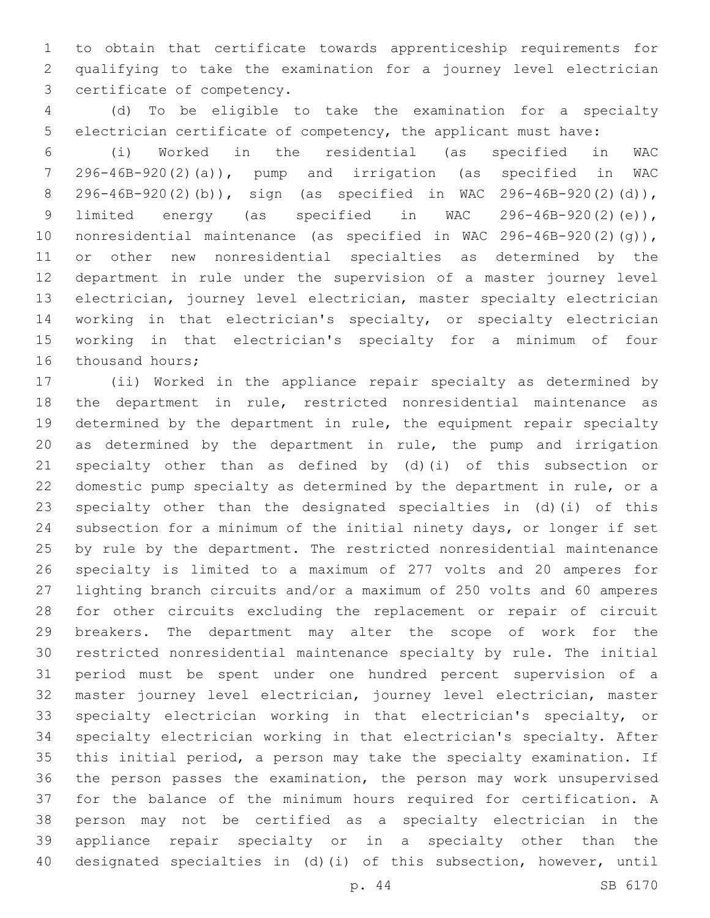to obtain that certificate towards apprenticeship requirements for qualifying to take the examination for a journey level electrician 3 certificate of competency.

 (d) To be eligible to take the examination for a specialty electrician certificate of competency, the applicant must have:

 (i) Worked in the residential (as specified in WAC 296-46B-920(2)(a)), pump and irrigation (as specified in WAC 296-46B-920(2)(b)), sign (as specified in WAC 296-46B-920(2)(d)), limited energy (as specified in WAC 296-46B-920(2)(e)), nonresidential maintenance (as specified in WAC 296-46B-920(2)(g)), or other new nonresidential specialties as determined by the department in rule under the supervision of a master journey level electrician, journey level electrician, master specialty electrician working in that electrician's specialty, or specialty electrician working in that electrician's specialty for a minimum of four 16 thousand hours;

 (ii) Worked in the appliance repair specialty as determined by the department in rule, restricted nonresidential maintenance as determined by the department in rule, the equipment repair specialty as determined by the department in rule, the pump and irrigation specialty other than as defined by (d)(i) of this subsection or domestic pump specialty as determined by the department in rule, or a specialty other than the designated specialties in (d)(i) of this subsection for a minimum of the initial ninety days, or longer if set by rule by the department. The restricted nonresidential maintenance specialty is limited to a maximum of 277 volts and 20 amperes for lighting branch circuits and/or a maximum of 250 volts and 60 amperes for other circuits excluding the replacement or repair of circuit breakers. The department may alter the scope of work for the restricted nonresidential maintenance specialty by rule. The initial period must be spent under one hundred percent supervision of a master journey level electrician, journey level electrician, master specialty electrician working in that electrician's specialty, or specialty electrician working in that electrician's specialty. After this initial period, a person may take the specialty examination. If the person passes the examination, the person may work unsupervised for the balance of the minimum hours required for certification. A person may not be certified as a specialty electrician in the appliance repair specialty or in a specialty other than the designated specialties in (d)(i) of this subsection, however, until

p. 44 SB 6170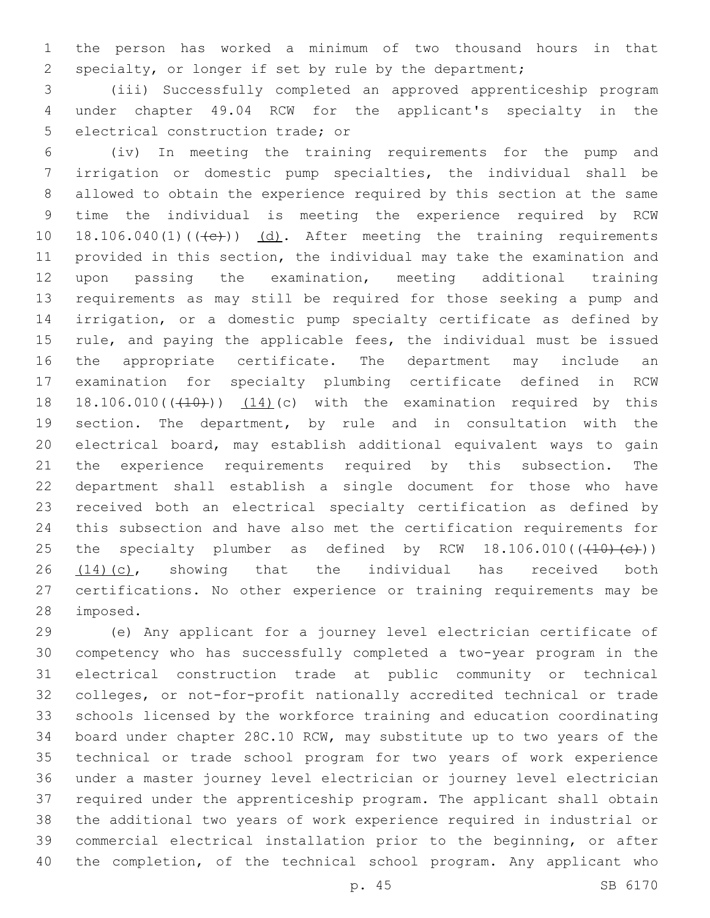the person has worked a minimum of two thousand hours in that specialty, or longer if set by rule by the department;

 (iii) Successfully completed an approved apprenticeship program under chapter 49.04 RCW for the applicant's specialty in the 5 electrical construction trade; or

 (iv) In meeting the training requirements for the pump and irrigation or domestic pump specialties, the individual shall be allowed to obtain the experience required by this section at the same time the individual is meeting the experience required by RCW 10 18.106.040(1) $((+e))$   $(d)$ . After meeting the training requirements provided in this section, the individual may take the examination and upon passing the examination, meeting additional training requirements as may still be required for those seeking a pump and irrigation, or a domestic pump specialty certificate as defined by rule, and paying the applicable fees, the individual must be issued the appropriate certificate. The department may include an examination for specialty plumbing certificate defined in RCW 18 18.106.010( $(410)$ )  $(14)$ (c) with the examination required by this section. The department, by rule and in consultation with the electrical board, may establish additional equivalent ways to gain the experience requirements required by this subsection. The department shall establish a single document for those who have received both an electrical specialty certification as defined by this subsection and have also met the certification requirements for 25 the specialty plumber as defined by RCW  $18.106.010((\text{+}10) \text{+} \text{c}))$  (14)(c), showing that the individual has received both certifications. No other experience or training requirements may be 28 imposed.

 (e) Any applicant for a journey level electrician certificate of competency who has successfully completed a two-year program in the electrical construction trade at public community or technical colleges, or not-for-profit nationally accredited technical or trade schools licensed by the workforce training and education coordinating board under chapter 28C.10 RCW, may substitute up to two years of the technical or trade school program for two years of work experience under a master journey level electrician or journey level electrician required under the apprenticeship program. The applicant shall obtain the additional two years of work experience required in industrial or commercial electrical installation prior to the beginning, or after the completion, of the technical school program. Any applicant who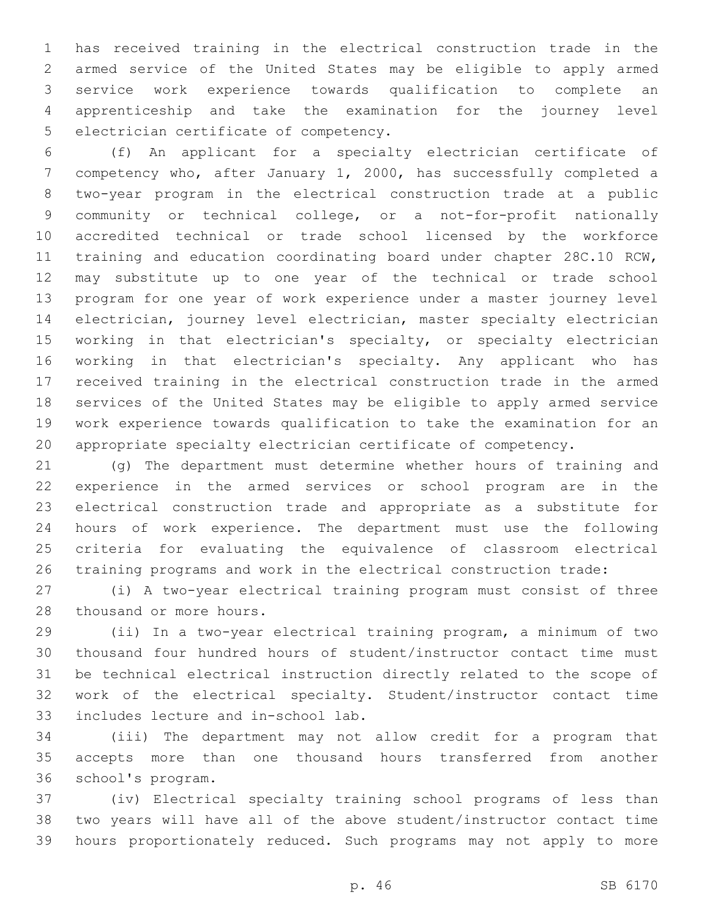has received training in the electrical construction trade in the armed service of the United States may be eligible to apply armed service work experience towards qualification to complete an apprenticeship and take the examination for the journey level 5 electrician certificate of competency.

 (f) An applicant for a specialty electrician certificate of competency who, after January 1, 2000, has successfully completed a two-year program in the electrical construction trade at a public community or technical college, or a not-for-profit nationally accredited technical or trade school licensed by the workforce training and education coordinating board under chapter 28C.10 RCW, may substitute up to one year of the technical or trade school program for one year of work experience under a master journey level electrician, journey level electrician, master specialty electrician working in that electrician's specialty, or specialty electrician working in that electrician's specialty. Any applicant who has received training in the electrical construction trade in the armed services of the United States may be eligible to apply armed service work experience towards qualification to take the examination for an appropriate specialty electrician certificate of competency.

 (g) The department must determine whether hours of training and experience in the armed services or school program are in the electrical construction trade and appropriate as a substitute for hours of work experience. The department must use the following criteria for evaluating the equivalence of classroom electrical training programs and work in the electrical construction trade:

 (i) A two-year electrical training program must consist of three 28 thousand or more hours.

 (ii) In a two-year electrical training program, a minimum of two thousand four hundred hours of student/instructor contact time must be technical electrical instruction directly related to the scope of work of the electrical specialty. Student/instructor contact time 33 includes lecture and in-school lab.

 (iii) The department may not allow credit for a program that accepts more than one thousand hours transferred from another 36 school's program.

 (iv) Electrical specialty training school programs of less than two years will have all of the above student/instructor contact time hours proportionately reduced. Such programs may not apply to more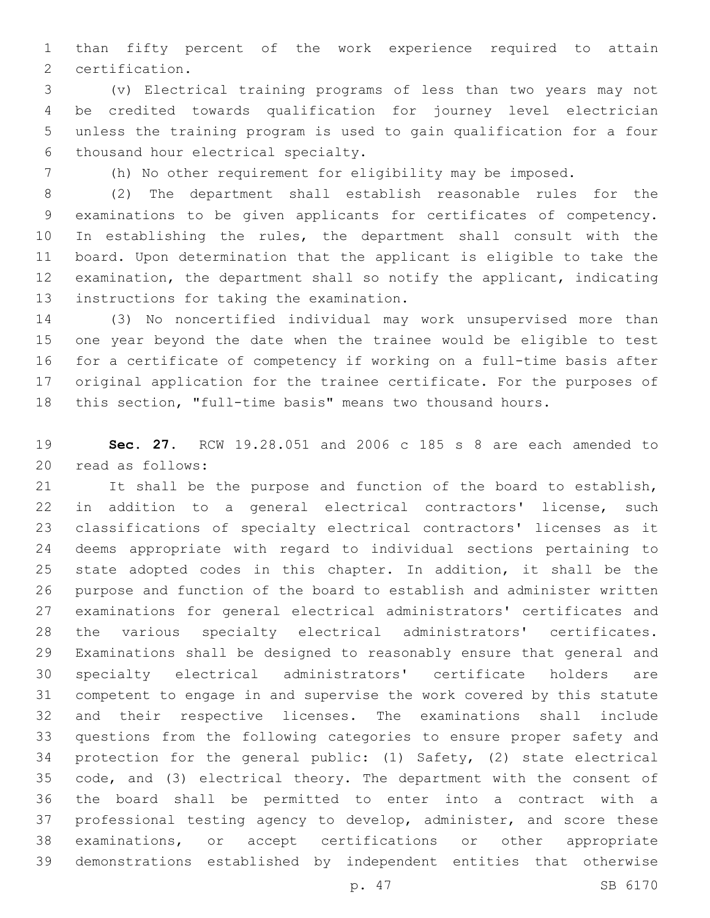than fifty percent of the work experience required to attain 2 certification.

 (v) Electrical training programs of less than two years may not be credited towards qualification for journey level electrician unless the training program is used to gain qualification for a four 6 thousand hour electrical specialty.

(h) No other requirement for eligibility may be imposed.

 (2) The department shall establish reasonable rules for the examinations to be given applicants for certificates of competency. In establishing the rules, the department shall consult with the board. Upon determination that the applicant is eligible to take the examination, the department shall so notify the applicant, indicating 13 instructions for taking the examination.

 (3) No noncertified individual may work unsupervised more than one year beyond the date when the trainee would be eligible to test for a certificate of competency if working on a full-time basis after original application for the trainee certificate. For the purposes of this section, "full-time basis" means two thousand hours.

 **Sec. 27.** RCW 19.28.051 and 2006 c 185 s 8 are each amended to 20 read as follows:

 It shall be the purpose and function of the board to establish, in addition to a general electrical contractors' license, such classifications of specialty electrical contractors' licenses as it deems appropriate with regard to individual sections pertaining to state adopted codes in this chapter. In addition, it shall be the purpose and function of the board to establish and administer written examinations for general electrical administrators' certificates and the various specialty electrical administrators' certificates. Examinations shall be designed to reasonably ensure that general and specialty electrical administrators' certificate holders are competent to engage in and supervise the work covered by this statute and their respective licenses. The examinations shall include questions from the following categories to ensure proper safety and protection for the general public: (1) Safety, (2) state electrical code, and (3) electrical theory. The department with the consent of the board shall be permitted to enter into a contract with a professional testing agency to develop, administer, and score these examinations, or accept certifications or other appropriate demonstrations established by independent entities that otherwise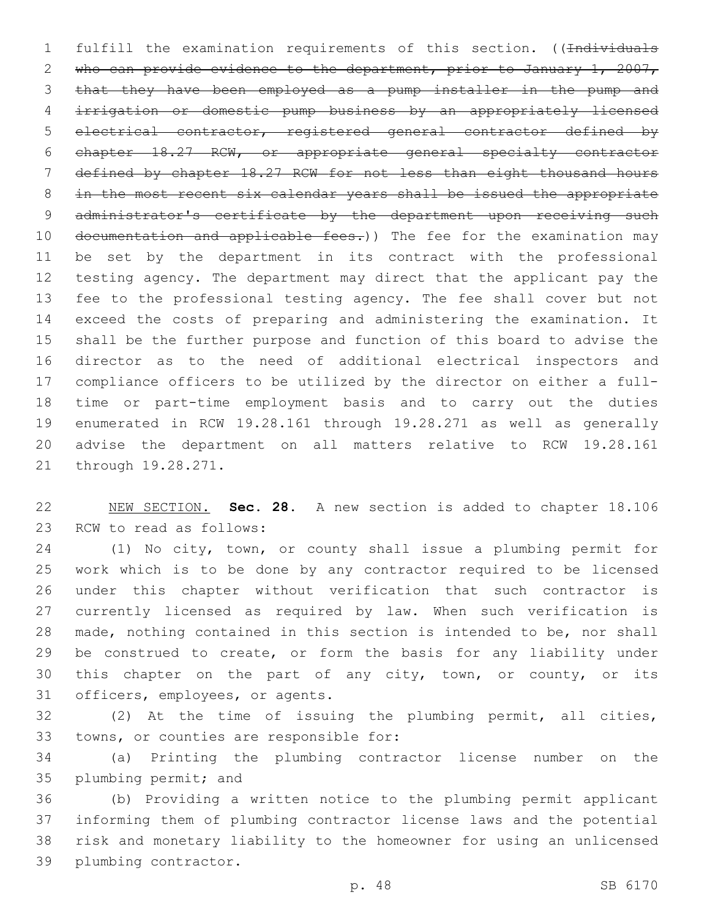1 fulfill the examination requirements of this section. ((Individuals 2 who can provide evidence to the department, prior to January 1, 2007, that they have been employed as a pump installer in the pump and irrigation or domestic pump business by an appropriately licensed electrical contractor, registered general contractor defined by chapter 18.27 RCW, or appropriate general specialty contractor defined by chapter 18.27 RCW for not less than eight thousand hours in the most recent six calendar years shall be issued the appropriate 9 administrator's certificate by the department upon receiving such 10 documentation and applicable fees.)) The fee for the examination may be set by the department in its contract with the professional testing agency. The department may direct that the applicant pay the fee to the professional testing agency. The fee shall cover but not exceed the costs of preparing and administering the examination. It shall be the further purpose and function of this board to advise the director as to the need of additional electrical inspectors and compliance officers to be utilized by the director on either a full- time or part-time employment basis and to carry out the duties enumerated in RCW 19.28.161 through 19.28.271 as well as generally advise the department on all matters relative to RCW 19.28.161 21 through 19.28.271.

 NEW SECTION. **Sec. 28.** A new section is added to chapter 18.106 23 RCW to read as follows:

 (1) No city, town, or county shall issue a plumbing permit for work which is to be done by any contractor required to be licensed under this chapter without verification that such contractor is currently licensed as required by law. When such verification is made, nothing contained in this section is intended to be, nor shall 29 be construed to create, or form the basis for any liability under this chapter on the part of any city, town, or county, or its 31 officers, employees, or agents.

 (2) At the time of issuing the plumbing permit, all cities, 33 towns, or counties are responsible for:

 (a) Printing the plumbing contractor license number on the 35 plumbing permit; and

 (b) Providing a written notice to the plumbing permit applicant informing them of plumbing contractor license laws and the potential risk and monetary liability to the homeowner for using an unlicensed 39 plumbing contractor.